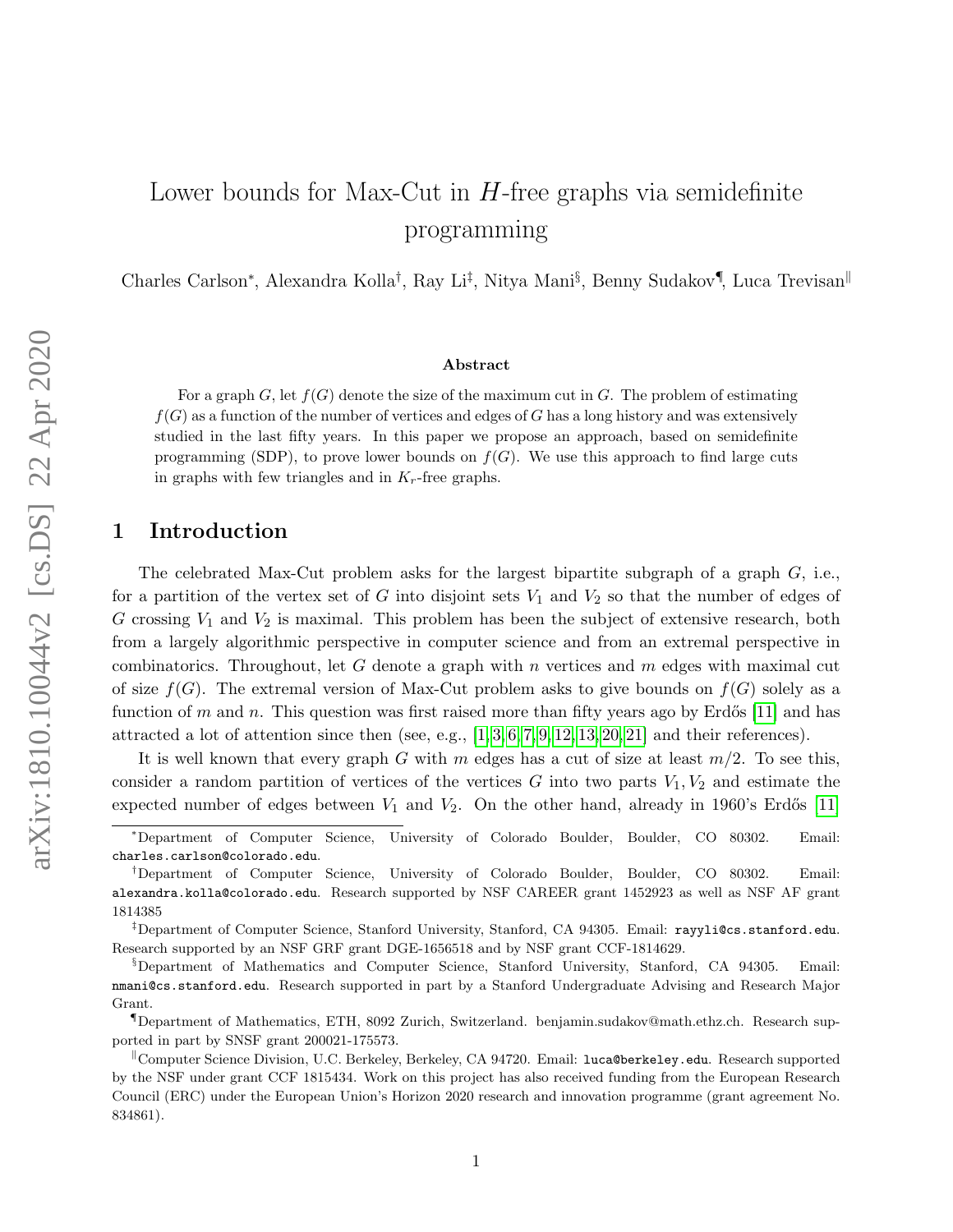# Lower bounds for Max-Cut in  $H$ -free graphs via semidefinite programming

Charles Carlson<sup>\*</sup>, Alexandra Kolla<sup>†</sup>, Ray Li<sup>‡</sup>, Nitya Mani<sup>§</sup>, Benny Sudakov<sup>¶</sup>, Luca Trevisan<sup>||</sup>

#### Abstract

For a graph G, let  $f(G)$  denote the size of the maximum cut in G. The problem of estimating  $f(G)$  as a function of the number of vertices and edges of G has a long history and was extensively studied in the last fifty years. In this paper we propose an approach, based on semidefinite programming (SDP), to prove lower bounds on  $f(G)$ . We use this approach to find large cuts in graphs with few triangles and in  $K_r$ -free graphs.

## 1 Introduction

The celebrated Max-Cut problem asks for the largest bipartite subgraph of a graph  $G$ , i.e., for a partition of the vertex set of G into disjoint sets  $V_1$  and  $V_2$  so that the number of edges of G crossing  $V_1$  and  $V_2$  is maximal. This problem has been the subject of extensive research, both from a largely algorithmic perspective in computer science and from an extremal perspective in combinatorics. Throughout, let G denote a graph with n vertices and  $m$  edges with maximal cut of size  $f(G)$ . The extremal version of Max-Cut problem asks to give bounds on  $f(G)$  solely as a function of m and n. This question was first raised more than fifty years ago by Erdős [\[11\]](#page-11-0) and has attracted a lot of attention since then (see, e.g.,  $[1,3,6,7,9,12,13,20,21]$  $[1,3,6,7,9,12,13,20,21]$  and their references).

It is well known that every graph G with m edges has a cut of size at least  $m/2$ . To see this, consider a random partition of vertices of the vertices G into two parts  $V_1, V_2$  and estimate the expected number of edges between  $V_1$  and  $V_2$ . On the other hand, already in 1960's Erdős [\[11\]](#page-11-0)

<sup>∗</sup>Department of Computer Science, University of Colorado Boulder, Boulder, CO 80302. Email: charles.carlson@colorado.edu.

<sup>†</sup>Department of Computer Science, University of Colorado Boulder, Boulder, CO 80302. Email: alexandra.kolla@colorado.edu. Research supported by NSF CAREER grant 1452923 as well as NSF AF grant 1814385

<sup>‡</sup>Department of Computer Science, Stanford University, Stanford, CA 94305. Email: rayyli@cs.stanford.edu. Research supported by an NSF GRF grant DGE-1656518 and by NSF grant CCF-1814629.

<sup>§</sup>Department of Mathematics and Computer Science, Stanford University, Stanford, CA 94305. Email: nmani@cs.stanford.edu. Research supported in part by a Stanford Undergraduate Advising and Research Major Grant.

<sup>¶</sup>Department of Mathematics, ETH, 8092 Zurich, Switzerland. benjamin.sudakov@math.ethz.ch. Research supported in part by SNSF grant 200021-175573.

Computer Science Division, U.C. Berkeley, Berkeley, CA 94720. Email: luca@berkeley.edu. Research supported by the NSF under grant CCF 1815434. Work on this project has also received funding from the European Research Council (ERC) under the European Union's Horizon 2020 research and innovation programme (grant agreement No. 834861).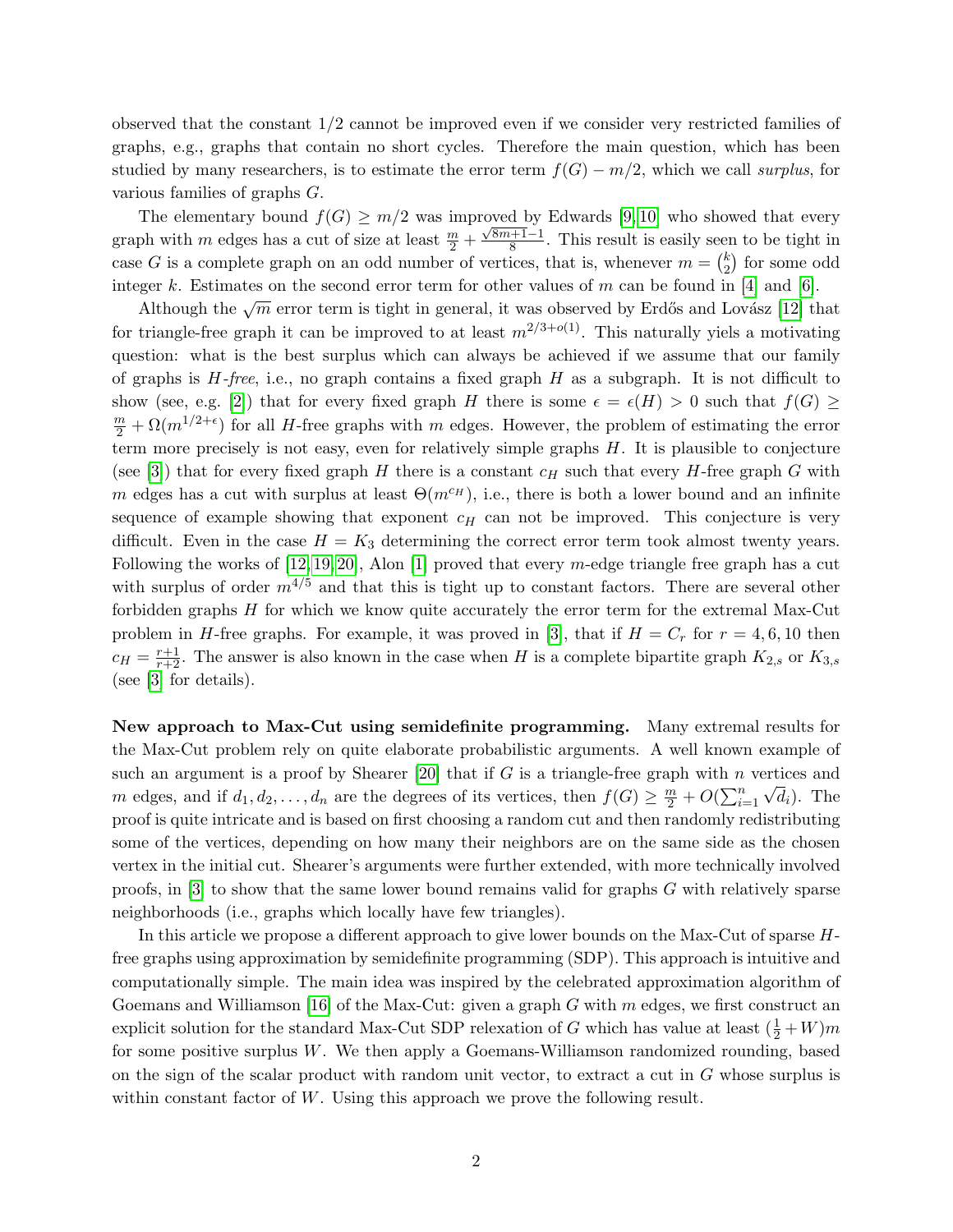observed that the constant 1/2 cannot be improved even if we consider very restricted families of graphs, e.g., graphs that contain no short cycles. Therefore the main question, which has been studied by many researchers, is to estimate the error term  $f(G) - m/2$ , which we call surplus, for various families of graphs G.

The elementary bound  $f(G) \geq m/2$  was improved by Edwards [\[9,](#page-11-5)10] who showed that every graph with m edges has a cut of size at least  $\frac{m}{2}$  +  $\frac{0 \text{veu}}{\sqrt{8m+1}-1}$  $\frac{+1-1}{8}$ . This result is easily seen to be tight in case G is a complete graph on an odd number of vertices, that is, whenever  $m = \binom{k}{2}$  $\binom{k}{2}$  for some odd integer k. Estimates on the second error term for other values of m can be found in [\[4\]](#page-11-8) and [\[6\]](#page-11-3).

Although the  $\sqrt{m}$  error term is tight in general, it was observed by Erdős and Lovász [\[12\]](#page-11-6) that for triangle-free graph it can be improved to at least  $m^{2/3+o(1)}$ . This naturally yiels a motivating question: what is the best surplus which can always be achieved if we assume that our family of graphs is  $H$ -free, i.e., no graph contains a fixed graph  $H$  as a subgraph. It is not difficult to show (see, e.g. [\[2\]](#page-11-9)) that for every fixed graph H there is some  $\epsilon = \epsilon(H) > 0$  such that  $f(G) \ge$  $\frac{m}{2} + \Omega(m^{1/2+\epsilon})$  for all *H*-free graphs with m edges. However, the problem of estimating the error term more precisely is not easy, even for relatively simple graphs  $H$ . It is plausible to conjecture (see [\[3\]](#page-11-2)) that for every fixed graph H there is a constant  $c_H$  such that every H-free graph G with m edges has a cut with surplus at least  $\Theta(m^{c_H})$ , i.e., there is both a lower bound and an infinite sequence of example showing that exponent  $c_H$  can not be improved. This conjecture is very difficult. Even in the case  $H = K_3$  determining the correct error term took almost twenty years. Following the works of  $[12, 19, 20]$  $[12, 19, 20]$  $[12, 19, 20]$ , Alon  $[1]$  proved that every *m*-edge triangle free graph has a cut with surplus of order  $m^{4/5}$  and that this is tight up to constant factors. There are several other forbidden graphs H for which we know quite accurately the error term for the extremal Max-Cut problem in H-free graphs. For example, it was proved in [\[3\]](#page-11-2), that if  $H = C_r$  for  $r = 4, 6, 10$  then  $c_H = \frac{r+1}{r+2}$ . The answer is also known in the case when H is a complete bipartite graph  $K_{2,s}$  or  $K_{3,s}$ (see [\[3\]](#page-11-2) for details).

New approach to Max-Cut using semidefinite programming. Many extremal results for the Max-Cut problem rely on quite elaborate probabilistic arguments. A well known example of such an argument is a proof by Shearer [\[20\]](#page-12-1) that if G is a triangle-free graph with n vertices and m edges, and if  $d_1, d_2, \ldots, d_n$  are the degrees of its vertices, then  $f(G) \geq \frac{m}{2} + O(\sum_{i=1}^n \sqrt{d_i})$ . The proof is quite intricate and is based on first choosing a random cut and then randomly redistributing some of the vertices, depending on how many their neighbors are on the same side as the chosen vertex in the initial cut. Shearer's arguments were further extended, with more technically involved proofs, in [\[3\]](#page-11-2) to show that the same lower bound remains valid for graphs G with relatively sparse neighborhoods (i.e., graphs which locally have few triangles).

In this article we propose a different approach to give lower bounds on the Max-Cut of sparse Hfree graphs using approximation by semidefinite programming (SDP). This approach is intuitive and computationally simple. The main idea was inspired by the celebrated approximation algorithm of Goemans and Williamson [\[16\]](#page-12-4) of the Max-Cut: given a graph  $G$  with  $m$  edges, we first construct an explicit solution for the standard Max-Cut SDP relexation of G which has value at least  $(\frac{1}{2} + W)m$ for some positive surplus W. We then apply a Goemans-Williamson randomized rounding, based on the sign of the scalar product with random unit vector, to extract a cut in G whose surplus is within constant factor of W. Using this approach we prove the following result.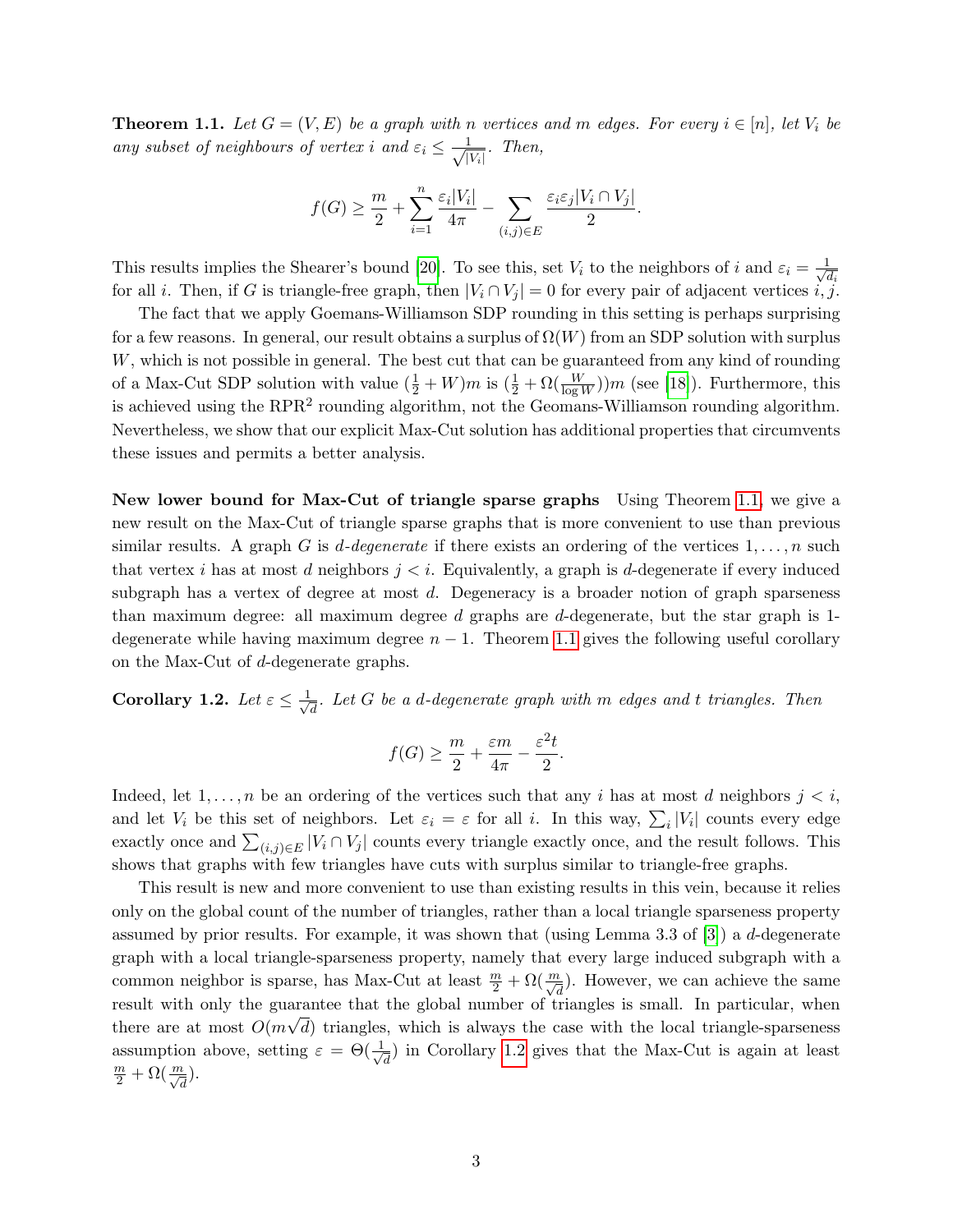<span id="page-2-0"></span>**Theorem 1.1.** Let  $G = (V, E)$  be a graph with n vertices and m edges. For every  $i \in [n]$ , let  $V_i$  be any subset of neighbours of vertex i and  $\varepsilon_i \leq \frac{1}{\sqrt{n}}$  $rac{1}{|V_i|}$ . Then,

$$
f(G) \ge \frac{m}{2} + \sum_{i=1}^{n} \frac{\varepsilon_i |V_i|}{4\pi} - \sum_{(i,j) \in E} \frac{\varepsilon_i \varepsilon_j |V_i \cap V_j|}{2}.
$$

This results implies the Shearer's bound [\[20\]](#page-12-1). To see this, set  $V_i$  to the neighbors of i and  $\varepsilon_i = \frac{1}{\sqrt{2}}$  $\overline{d_i}$ for all *i*. Then, if G is triangle-free graph, then  $|V_i \cap V_j| = 0$  for every pair of adjacent vertices i, j.

The fact that we apply Goemans-Williamson SDP rounding in this setting is perhaps surprising for a few reasons. In general, our result obtains a surplus of  $\Omega(W)$  from an SDP solution with surplus W, which is not possible in general. The best cut that can be guaranteed from any kind of rounding of a Max-Cut SDP solution with value  $(\frac{1}{2}+W)m$  is  $(\frac{1}{2}+\Omega(\frac{W}{\log W}))m$  (see [\[18\]](#page-12-5)). Furthermore, this is achieved using the  $RPR<sup>2</sup>$  rounding algorithm, not the Geomans-Williamson rounding algorithm. Nevertheless, we show that our explicit Max-Cut solution has additional properties that circumvents these issues and permits a better analysis.

New lower bound for Max-Cut of triangle sparse graphs Using Theorem [1.1,](#page-2-0) we give a new result on the Max-Cut of triangle sparse graphs that is more convenient to use than previous similar results. A graph G is d-degenerate if there exists an ordering of the vertices  $1, \ldots, n$  such that vertex i has at most d neighbors  $j < i$ . Equivalently, a graph is d-degenerate if every induced subgraph has a vertex of degree at most  $d$ . Degeneracy is a broader notion of graph sparseness than maximum degree: all maximum degree d graphs are d-degenerate, but the star graph is 1 degenerate while having maximum degree  $n - 1$ . Theorem [1.1](#page-2-0) gives the following useful corollary on the Max-Cut of d-degenerate graphs.

<span id="page-2-1"></span>Corollary 1.2. Let  $\varepsilon \leq \frac{1}{\sqrt{2}}$  $\overline{d}_{\overline{d}}$ . Let  $G$  be a d-degenerate graph with  $m$  edges and t triangles. Then

$$
f(G) \ge \frac{m}{2} + \frac{\varepsilon m}{4\pi} - \frac{\varepsilon^2 t}{2}.
$$

Indeed, let  $1, \ldots, n$  be an ordering of the vertices such that any i has at most d neighbors  $j < i$ , and let  $V_i$  be this set of neighbors. Let  $\varepsilon_i = \varepsilon$  for all i. In this way,  $\sum_i |V_i|$  counts every edge exactly once and  $\sum_{(i,j)\in E}|V_i \cap V_j|$  counts every triangle exactly once, and the result follows. This shows that graphs with few triangles have cuts with surplus similar to triangle-free graphs.

This result is new and more convenient to use than existing results in this vein, because it relies only on the global count of the number of triangles, rather than a local triangle sparseness property assumed by prior results. For example, it was shown that (using Lemma 3.3 of [\[3\]](#page-11-2)) a d-degenerate graph with a local triangle-sparseness property, namely that every large induced subgraph with a common neighbor is sparse, has Max-Cut at least  $\frac{m}{2} + \Omega(\frac{m}{\sqrt{d}})$ . However, we can achieve the same result with only the guarantee that the global number of triangles is small. In particular, when there are at most  $O(m\sqrt{d})$  triangles, which is always the case with the local triangle-sparseness assumption above, setting  $\varepsilon = \Theta(\frac{1}{\sqrt{\epsilon}})$  $\frac{d}{d}$  in Corollary [1.2](#page-2-1) gives that the Max-Cut is again at least  $\frac{m}{2} + \Omega(\frac{m}{\sqrt{d}}).$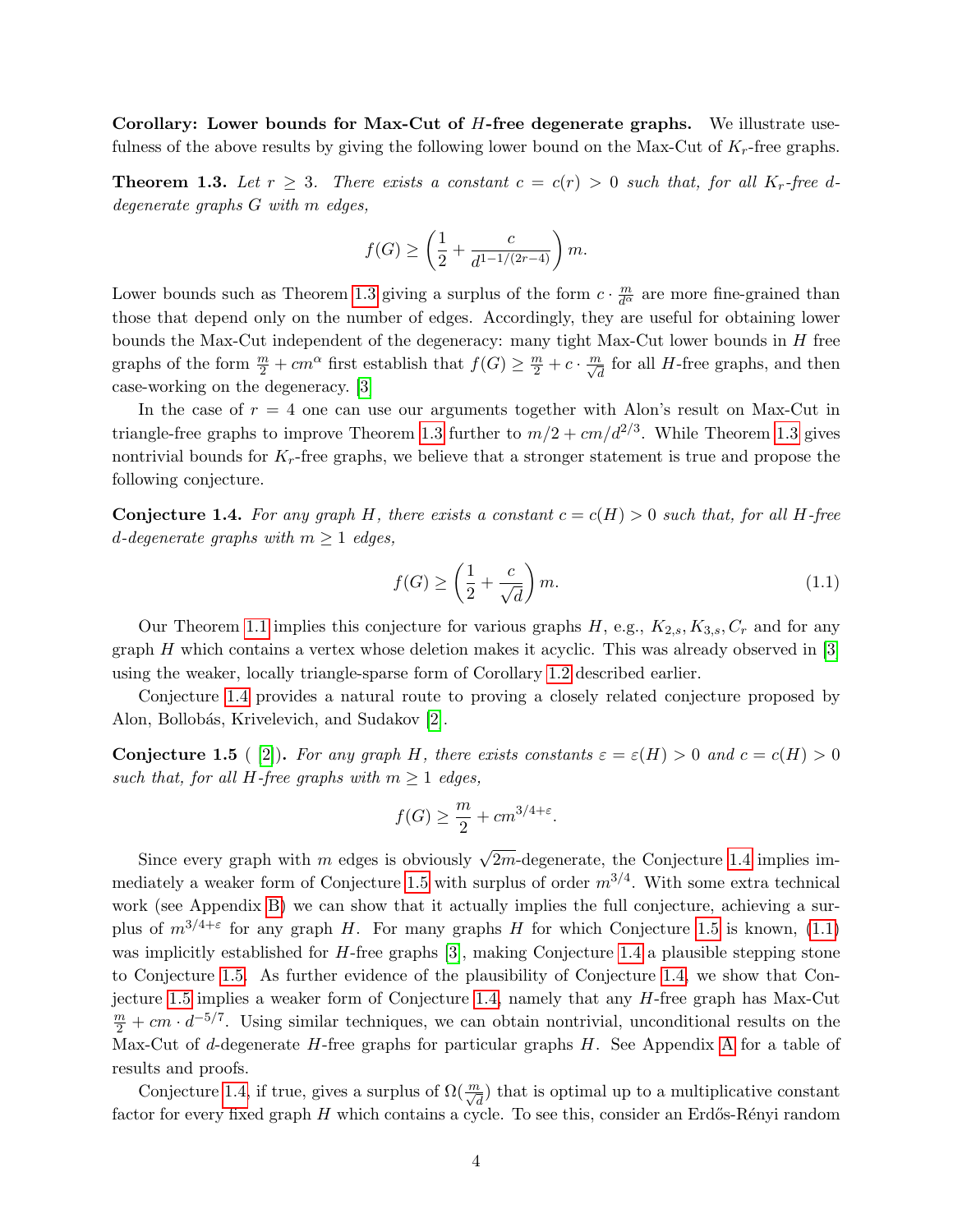Corollary: Lower bounds for Max-Cut of  $H$ -free degenerate graphs. We illustrate usefulness of the above results by giving the following lower bound on the Max-Cut of  $K_r$ -free graphs.

<span id="page-3-0"></span>**Theorem 1.3.** Let  $r \geq 3$ . There exists a constant  $c = c(r) > 0$  such that, for all  $K_r$ -free ddegenerate graphs G with m edges,

$$
f(G) \ge \left(\frac{1}{2} + \frac{c}{d^{1-1/(2r-4)}}\right)m.
$$

Lower bounds such as Theorem [1.3](#page-3-0) giving a surplus of the form  $c \cdot \frac{m}{d^{\alpha}}$  are more fine-grained than those that depend only on the number of edges. Accordingly, they are useful for obtaining lower bounds the Max-Cut independent of the degeneracy: many tight Max-Cut lower bounds in  $H$  free graphs of the form  $\frac{m}{2} + cm^{\alpha}$  first establish that  $f(G) \ge \frac{m}{2} + c \cdot \frac{m}{\sqrt{d}}$  for all H-free graphs, and then case-working on the degeneracy. [\[3\]](#page-11-2)

In the case of  $r = 4$  one can use our arguments together with Alon's result on Max-Cut in triangle-free graphs to improve Theorem [1.3](#page-3-0) further to  $m/2 + cm/d^{2/3}$ . While Theorem 1.3 gives nontrivial bounds for  $K_r$ -free graphs, we believe that a stronger statement is true and propose the following conjecture.

<span id="page-3-1"></span>**Conjecture 1.4.** For any graph H, there exists a constant  $c = c(H) > 0$  such that, for all H-free d-degenerate graphs with  $m \geq 1$  edges,

<span id="page-3-3"></span>
$$
f(G) \ge \left(\frac{1}{2} + \frac{c}{\sqrt{d}}\right)m.\tag{1.1}
$$

Our Theorem [1.1](#page-2-0) implies this conjecture for various graphs  $H$ , e.g.,  $K_{2,s}$ ,  $K_{3,s}$ ,  $C_r$  and for any graph  $H$  which contains a vertex whose deletion makes it acyclic. This was already observed in  $[3]$ using the weaker, locally triangle-sparse form of Corollary [1.2](#page-2-1) described earlier.

Conjecture [1.4](#page-3-1) provides a natural route to proving a closely related conjecture proposed by Alon, Bollobás, Krivelevich, and Sudakov [\[2\]](#page-11-9).

<span id="page-3-2"></span>**Conjecture 1.5** ([\[2\]](#page-11-9)). For any graph H, there exists constants  $\varepsilon = \varepsilon(H) > 0$  and  $c = c(H) > 0$ such that, for all H-free graphs with  $m \geq 1$  edges,

$$
f(G) \ge \frac{m}{2} + cm^{3/4 + \varepsilon}.
$$

Since every graph with m edges is obviously  $\sqrt{2m}$ -degenerate, the Conjecture [1.4](#page-3-1) implies im-mediately a weaker form of Conjecture [1.5](#page-3-2) with surplus of order  $m^{3/4}$ . With some extra technical work (see Appendix [B\)](#page-14-0) we can show that it actually implies the full conjecture, achieving a surplus of  $m^{3/4+\epsilon}$  for any graph H. For many graphs H for which Conjecture [1.5](#page-3-2) is known, [\(1.1\)](#page-3-3) was implicitly established for H-free graphs [\[3\]](#page-11-2), making Conjecture [1.4](#page-3-1) a plausible stepping stone to Conjecture [1.5.](#page-3-2) As further evidence of the plausibility of Conjecture [1.4,](#page-3-1) we show that Conjecture [1.5](#page-3-2) implies a weaker form of Conjecture [1.4,](#page-3-1) namely that any H-free graph has Max-Cut  $\frac{m}{2} + cm \cdot d^{-5/7}$ . Using similar techniques, we can obtain nontrivial, unconditional results on the Max-Cut of d-degenerate  $H$ -free graphs for particular graphs  $H$ . See [A](#page-12-6)ppendix A for a table of results and proofs.

Conjecture [1.4,](#page-3-1) if true, gives a surplus of  $\Omega(\frac{m}{\sqrt{d}})$  that is optimal up to a multiplicative constant factor for every fixed graph  $H$  which contains a cycle. To see this, consider an Erdős-Rényi random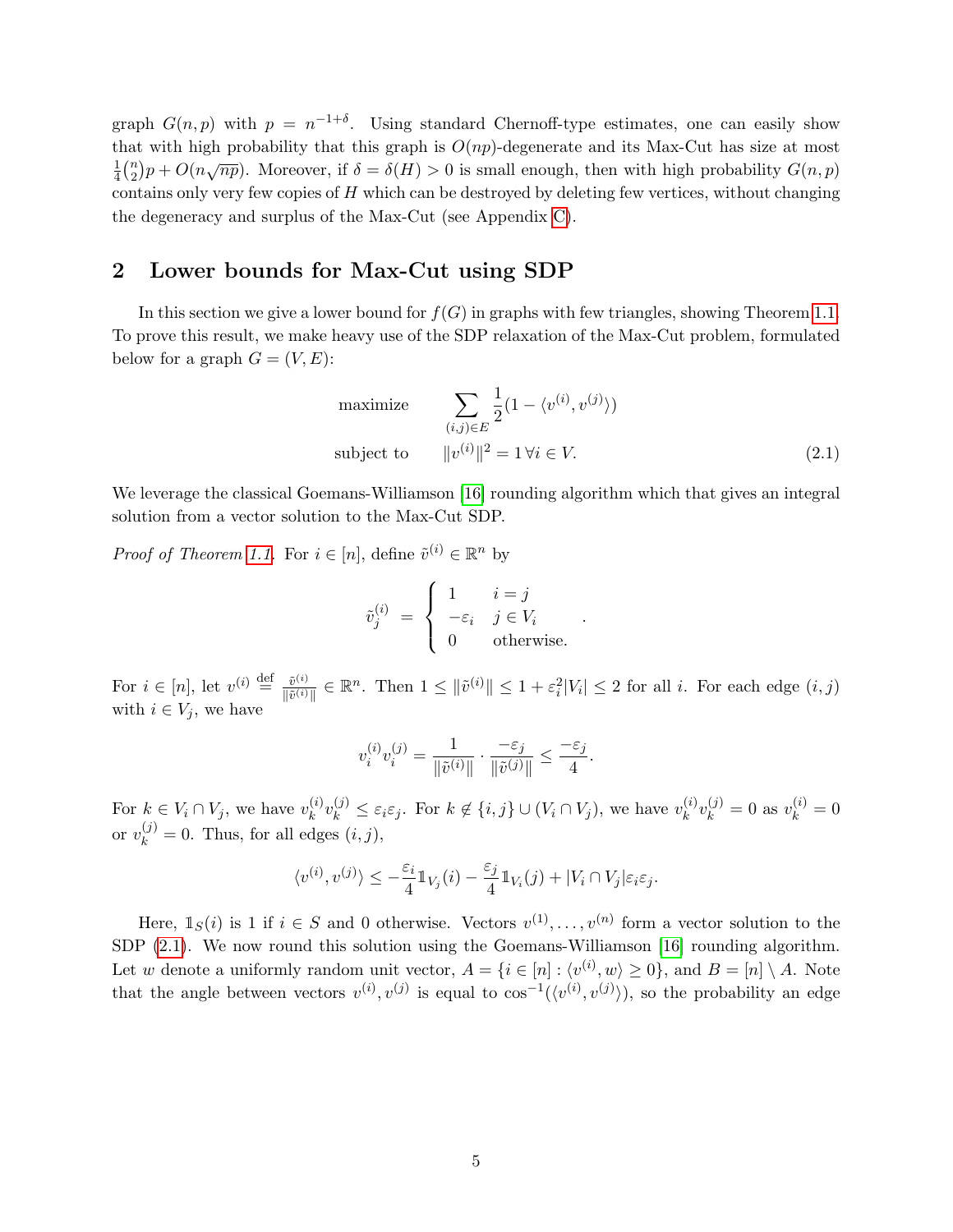graph  $G(n, p)$  with  $p = n^{-1+\delta}$ . Using standard Chernoff-type estimates, one can easily show that with high probability that this graph is  $O(np)$ -degenerate and its Max-Cut has size at most 1  $\frac{1}{4}$  $\binom{n}{2}$  $\frac{2}{2}$ )  $p + O(n\sqrt{np})$ . Moreover, if  $\delta = \delta(H) > 0$  is small enough, then with high probability  $G(n, p)$ contains only very few copies of  $H$  which can be destroyed by deleting few vertices, without changing the degeneracy and surplus of the Max-Cut (see Appendix [C\)](#page-19-0).

# 2 Lower bounds for Max-Cut using SDP

In this section we give a lower bound for  $f(G)$  in graphs with few triangles, showing Theorem [1.1.](#page-2-0) To prove this result, we make heavy use of the SDP relaxation of the Max-Cut problem, formulated below for a graph  $G = (V, E)$ :

maximize 
$$
\sum_{(i,j)\in E} \frac{1}{2} (1 - \langle v^{(i)}, v^{(j)} \rangle)
$$
  
subject to 
$$
||v^{(i)}||^2 = 1 \forall i \in V.
$$
 (2.1)

<span id="page-4-0"></span>.

We leverage the classical Goemans-Williamson [\[16\]](#page-12-4) rounding algorithm which that gives an integral solution from a vector solution to the Max-Cut SDP.

*Proof of Theorem [1.1.](#page-2-0)* For  $i \in [n]$ , define  $\tilde{v}^{(i)} \in \mathbb{R}^n$  by

$$
\tilde{v}_j^{(i)} = \begin{cases} 1 & i = j \\ -\varepsilon_i & j \in V_i \\ 0 & \text{otherwise.} \end{cases}
$$

For  $i \in [n]$ , let  $v^{(i)} \stackrel{\text{def}}{=} \frac{\tilde{v}^{(i)}}{\sqrt{n}}$  $\frac{\tilde{v}^{(i)}}{\|\tilde{v}^{(i)}\|} \in \mathbb{R}^n$ . Then  $1 \leq \|\tilde{v}^{(i)}\| \leq 1 + \varepsilon_i^2 |V_i| \leq 2$  for all *i*. For each edge  $(i, j)$ with  $i \in V_j$ , we have

$$
v_i^{(i)}v_i^{(j)} = \frac{1}{\|\tilde{v}^{(i)}\|} \cdot \frac{-\varepsilon_j}{\|\tilde{v}^{(j)}\|} \le \frac{-\varepsilon_j}{4}.
$$

For  $k \in V_i \cap V_j$ , we have  $v_k^{(i)}$  $\mathcal{L}_{k}^{(i)}v_{k}^{(j)} \leq \varepsilon_{i}\varepsilon_{j}$ . For  $k \notin \{i, j\} \cup (V_{i} \cap V_{j}),$  we have  $v_{k}^{(i)}$  $\binom{(i)}{k}v_k^{(j)}=0$  as  $v_k^{(i)}=0$ or  $v_k^{(j)} = 0$ . Thus, for all edges  $(i, j)$ ,

$$
\langle v^{(i)}, v^{(j)} \rangle \leq -\frac{\varepsilon_i}{4} \mathbb{1}_{V_j}(i) - \frac{\varepsilon_j}{4} \mathbb{1}_{V_i}(j) + |V_i \cap V_j| \varepsilon_i \varepsilon_j.
$$

Here,  $\mathbb{1}_S(i)$  is 1 if  $i \in S$  and 0 otherwise. Vectors  $v^{(1)}, \ldots, v^{(n)}$  form a vector solution to the SDP [\(2.1\)](#page-4-0). We now round this solution using the Goemans-Williamson [\[16\]](#page-12-4) rounding algorithm. Let w denote a uniformly random unit vector,  $A = \{i \in [n] : \langle v^{(i)}, w \rangle \ge 0\}$ , and  $B = [n] \setminus A$ . Note that the angle between vectors  $v^{(i)}, v^{(j)}$  is equal to  $\cos^{-1}(\langle v^{(i)}, v^{(j)} \rangle)$ , so the probability an edge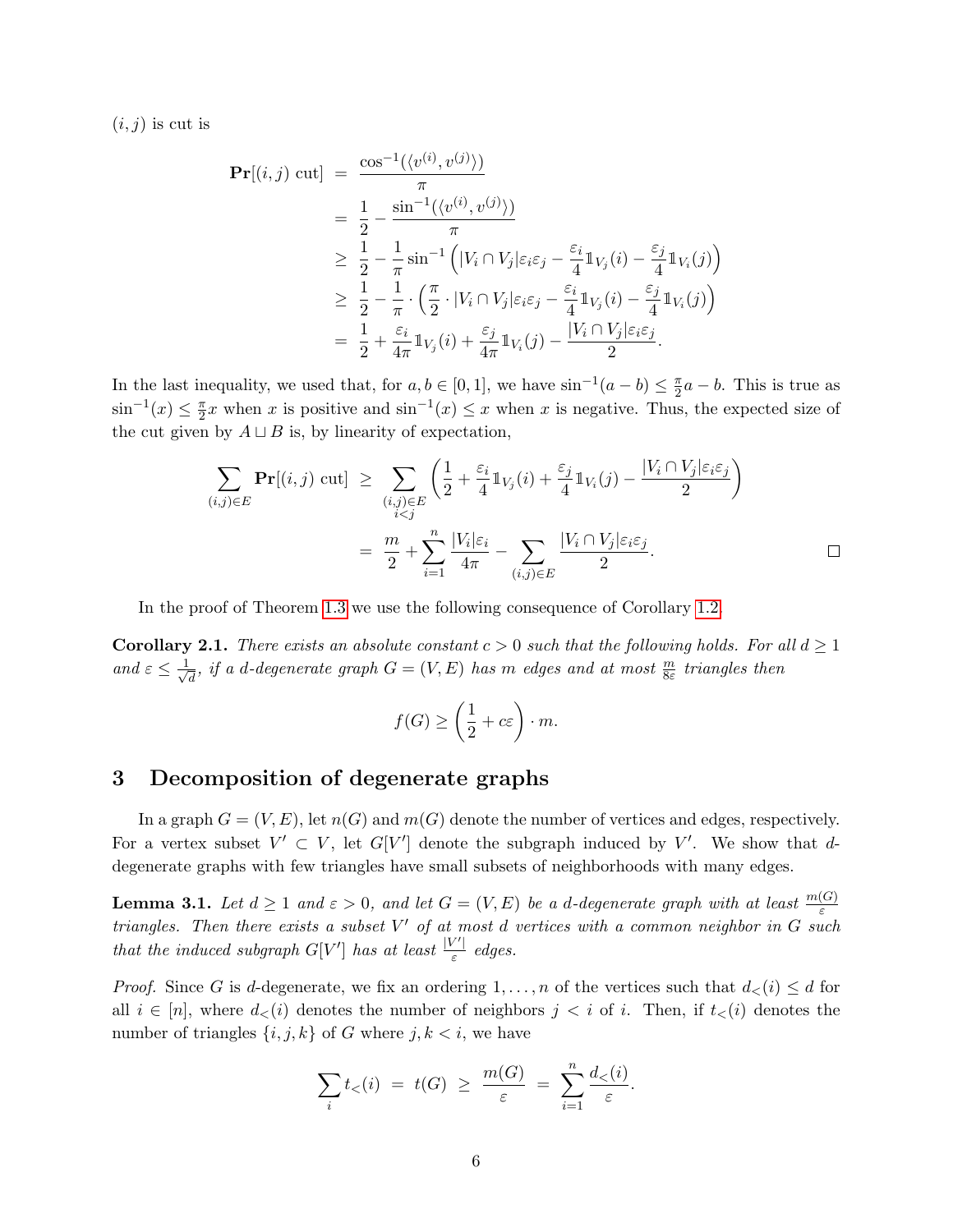$(i, j)$  is cut is

$$
\begin{split} \mathbf{Pr}[(i,j) \text{ cut}] &= \frac{\cos^{-1}(\langle v^{(i)}, v^{(j)} \rangle)}{\pi} \\ &= \frac{1}{2} - \frac{\sin^{-1}(\langle v^{(i)}, v^{(j)} \rangle)}{\pi} \\ &\geq \frac{1}{2} - \frac{1}{\pi} \sin^{-1} \left( |V_i \cap V_j| \varepsilon_i \varepsilon_j - \frac{\varepsilon_i}{4} \mathbb{1}_{V_j}(i) - \frac{\varepsilon_j}{4} \mathbb{1}_{V_i}(j) \right) \\ &\geq \frac{1}{2} - \frac{1}{\pi} \cdot \left( \frac{\pi}{2} \cdot |V_i \cap V_j| \varepsilon_i \varepsilon_j - \frac{\varepsilon_i}{4} \mathbb{1}_{V_j}(i) - \frac{\varepsilon_j}{4} \mathbb{1}_{V_i}(j) \right) \\ &= \frac{1}{2} + \frac{\varepsilon_i}{4\pi} \mathbb{1}_{V_j}(i) + \frac{\varepsilon_j}{4\pi} \mathbb{1}_{V_i}(j) - \frac{|V_i \cap V_j| \varepsilon_i \varepsilon_j}{2}. \end{split}
$$

In the last inequality, we used that, for  $a, b \in [0, 1]$ , we have  $\sin^{-1}(a - b) \leq \frac{\pi}{2}$  $\frac{\pi}{2}a - b$ . This is true as  $\sin^{-1}(x) \leq \frac{\pi}{2}$  $\frac{\pi}{2}x$  when x is positive and  $\sin^{-1}(x) \leq x$  when x is negative. Thus, the expected size of the cut given by  $A \sqcup B$  is, by linearity of expectation,

$$
\sum_{(i,j)\in E} \mathbf{Pr}[(i,j) \text{ cut}] \ge \sum_{\substack{(i,j)\in E \\ i
$$
= \frac{m}{2} + \sum_{i=1}^n \frac{|V_i|\varepsilon_i}{4\pi} - \sum_{(i,j)\in E} \frac{|V_i \cap V_j|\varepsilon_i\varepsilon_j}{2}.
$$
$$

In the proof of Theorem [1.3](#page-3-0) we use the following consequence of Corollary [1.2.](#page-2-1)

<span id="page-5-1"></span>**Corollary 2.1.** There exists an absolute constant  $c > 0$  such that the following holds. For all  $d \geq 1$ and  $\varepsilon \leq \frac{1}{\sqrt{2}}$  $\frac{1}{d\sigma}$ , if a d-degenerate graph  $G=(V,E)$  has  $m$  edges and at most  $\frac{m}{8\varepsilon}$  triangles then

$$
f(G) \ge \left(\frac{1}{2} + c\varepsilon\right) \cdot m.
$$

# 3 Decomposition of degenerate graphs

In a graph  $G = (V, E)$ , let  $n(G)$  and  $m(G)$  denote the number of vertices and edges, respectively. For a vertex subset  $V' \subset V$ , let  $G[V']$  denote the subgraph induced by V'. We show that ddegenerate graphs with few triangles have small subsets of neighborhoods with many edges.

<span id="page-5-0"></span>**Lemma 3.1.** Let  $d \geq 1$  and  $\varepsilon > 0$ , and let  $G = (V, E)$  be a d-degenerate graph with at least  $\frac{m(G)}{\varepsilon}$ triangles. Then there exists a subset  $V'$  of at most d vertices with a common neighbor in  $G$  such that the induced subgraph  $G[V']$  has at least  $\frac{|V'|}{\varepsilon}$  $\frac{1}{\varepsilon}$  edges.

*Proof.* Since G is d-degenerate, we fix an ordering  $1, \ldots, n$  of the vertices such that  $d_<(i) \leq d$  for all  $i \in [n]$ , where  $d<(i)$  denotes the number of neighbors  $j < i$  of i. Then, if  $t<(i)$  denotes the number of triangles  $\{i, j, k\}$  of G where  $j, k < i$ , we have

$$
\sum_{i} t_{<} (i) \ = \ t(G) \ \ge \ \frac{m(G)}{\varepsilon} \ = \ \sum_{i=1}^{n} \frac{d_{<} (i)}{\varepsilon}.
$$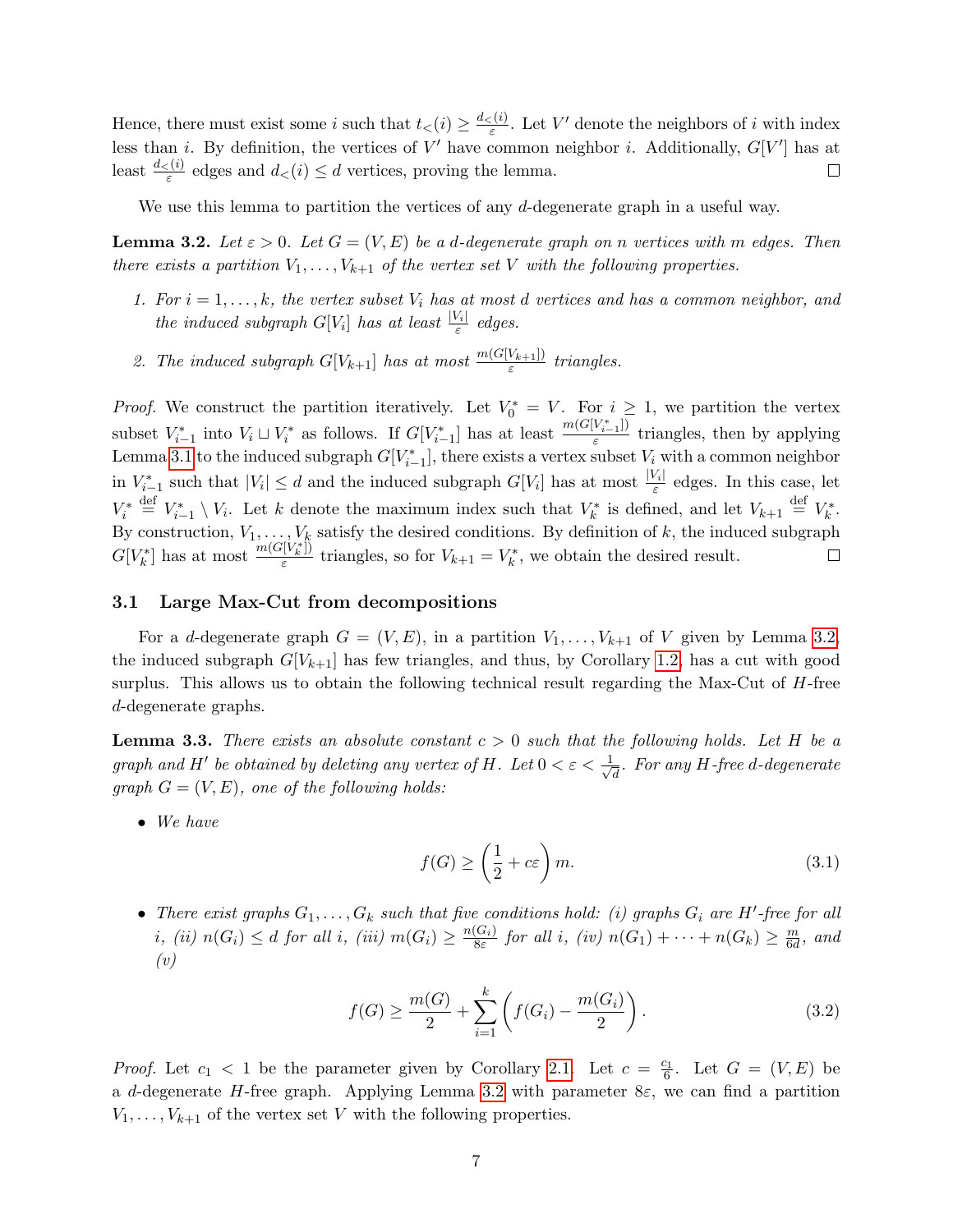Hence, there must exist some i such that  $t<sub>lt</sub>(i) \geq \frac{d<sub>lt</sub>(i)}{\varepsilon}$  $\frac{\zeta(i)}{\varepsilon}$ . Let V' denote the neighbors of i with index less than *i*. By definition, the vertices of V' have common neighbor *i*. Additionally,  $G[V']$  has at least  $\frac{d \langle i \rangle}{\varepsilon}$  edges and  $d \langle i \rangle \leq d$  vertices, proving the lemma.  $\Box$ 

We use this lemma to partition the vertices of any d-degenerate graph in a useful way.

<span id="page-6-0"></span>**Lemma 3.2.** Let  $\varepsilon > 0$ . Let  $G = (V, E)$  be a d-degenerate graph on n vertices with m edges. Then there exists a partition  $V_1, \ldots, V_{k+1}$  of the vertex set V with the following properties.

- 1. For  $i = 1, \ldots, k$ , the vertex subset  $V_i$  has at most d vertices and has a common neighbor, and the induced subgraph  $G[V_i]$  has at least  $\frac{|V_i|}{\varepsilon}$  edges.
- <span id="page-6-1"></span>2. The induced subgraph  $G[V_{k+1}]$  has at most  $\frac{m(G[V_{k+1}])}{\varepsilon}$  triangles.

*Proof.* We construct the partition iteratively. Let  $V_0^* = V$ . For  $i \geq 1$ , we partition the vertex subset  $V_{i-1}^*$  into  $V_i \sqcup V_i^*$  as follows. If  $G[V_{i-1}^*]$  has at least  $\frac{m(G[V_{i-1}^*])}{\varepsilon}$  $\frac{v_{i-1}}{\varepsilon}$  triangles, then by applying Lemma [3.1](#page-5-0) to the induced subgraph  $G[V^*_{i-1}]$ , there exists a vertex subset  $V_i$  with a common neighbor in  $V_{i-1}^*$  such that  $|V_i| \leq d$  and the induced subgraph  $G[V_i]$  has at most  $\frac{|V_i|}{\varepsilon}$  edges. In this case, let  $V_i^* \stackrel{\text{def}}{=} V_{i-1}^* \setminus V_i$ . Let k denote the maximum index such that  $V_k^*$  is defined, and let  $V_{k+1} \stackrel{\text{def}}{=} V_k^*$ . By construction,  $V_1, \ldots, V_k$  satisfy the desired conditions. By definition of k, the induced subgraph  $G[V_k^*]$  has at most  $\frac{m(G[V_k^*])}{\varepsilon}$  $\frac{V(k+1)}{\varepsilon}$  triangles, so for  $V_{k+1} = V_k^*$ , we obtain the desired result.

#### 3.1 Large Max-Cut from decompositions

For a d-degenerate graph  $G = (V, E)$ , in a partition  $V_1, \ldots, V_{k+1}$  of V given by Lemma [3.2,](#page-6-0) the induced subgraph  $G[V_{k+1}]$  has few triangles, and thus, by Corollary [1.2,](#page-2-1) has a cut with good surplus. This allows us to obtain the following technical result regarding the Max-Cut of  $H$ -free d-degenerate graphs.

<span id="page-6-4"></span>**Lemma 3.3.** There exists an absolute constant  $c > 0$  such that the following holds. Let H be a graph and H' be obtained by deleting any vertex of H. Let  $0 < \varepsilon < \frac{1}{\sqrt{2}}$  $\overline{\overline{d}}$ . For any H-free d-degenerate graph  $G = (V, E)$ , one of the following holds:

• We have

<span id="page-6-3"></span><span id="page-6-2"></span>
$$
f(G) \ge \left(\frac{1}{2} + c\varepsilon\right)m.\tag{3.1}
$$

• There exist graphs  $G_1, \ldots, G_k$  such that five conditions hold: (i) graphs  $G_i$  are H'-free for all i, (ii)  $n(G_i) \leq d$  for all i, (iii)  $m(G_i) \geq \frac{n(G_i)}{8\varepsilon}$  $\frac{(G_i)}{8\varepsilon}$  for all i, (iv)  $n(G_1) + \cdots + n(G_k) \geq \frac{m}{6d}$  $\frac{m}{6d}$ , and  $(v)$ 

$$
f(G) \ge \frac{m(G)}{2} + \sum_{i=1}^{k} \left( f(G_i) - \frac{m(G_i)}{2} \right). \tag{3.2}
$$

*Proof.* Let  $c_1 < 1$  be the parameter given by Corollary [2.1.](#page-5-1) Let  $c = \frac{c_1}{6}$ . Let  $G = (V, E)$  be a d-degenerate H-free graph. Applying Lemma [3.2](#page-6-1) with parameter  $8\varepsilon$ , we can find a partition  $V_1, \ldots, V_{k+1}$  of the vertex set V with the following properties.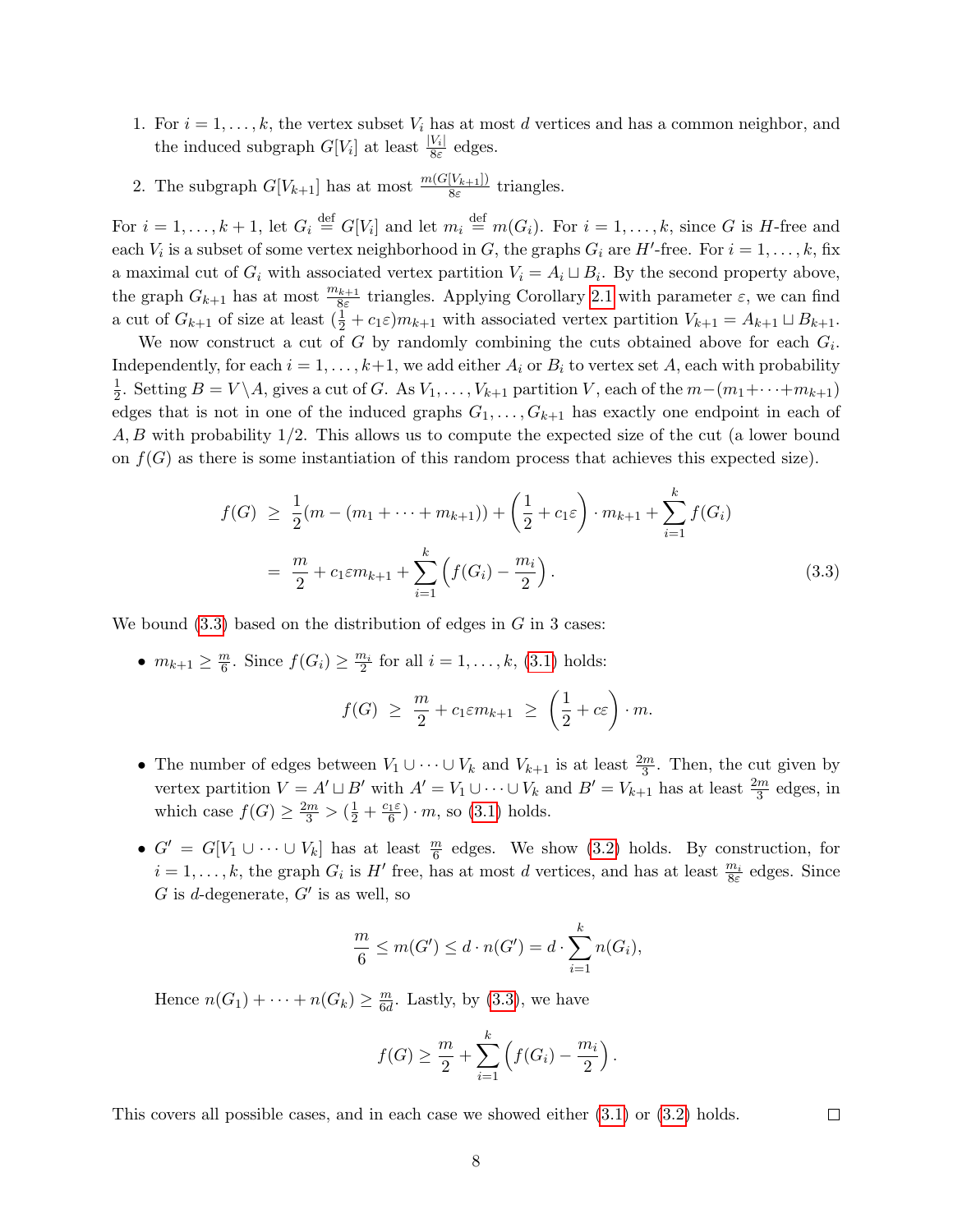- 1. For  $i = 1, \ldots, k$ , the vertex subset  $V_i$  has at most d vertices and has a common neighbor, and the induced subgraph  $G[V_i]$  at least  $\frac{|V_i|}{8\varepsilon}$  edges.
- 2. The subgraph  $G[V_{k+1}]$  has at most  $\frac{m(G[V_{k+1}])}{8\varepsilon}$  triangles.

For  $i=1,\ldots,k+1$ , let  $G_i \stackrel{\text{def}}{=} G[V_i]$  and let  $m_i \stackrel{\text{def}}{=} m(G_i)$ . For  $i=1,\ldots,k$ , since G is H-free and each  $V_i$  is a subset of some vertex neighborhood in G, the graphs  $G_i$  are H'-free. For  $i = 1, \ldots, k$ , fix a maximal cut of  $G_i$  with associated vertex partition  $V_i = A_i \sqcup B_i$ . By the second property above, the graph  $G_{k+1}$  has at most  $\frac{m_{k+1}}{8\varepsilon}$  triangles. Applying Corollary [2.1](#page-5-1) with parameter  $\varepsilon$ , we can find a cut of  $G_{k+1}$  of size at least  $(\frac{1}{2} + c_1 \varepsilon) m_{k+1}$  with associated vertex partition  $V_{k+1} = A_{k+1} \sqcup B_{k+1}$ .

We now construct a cut of G by randomly combining the cuts obtained above for each  $G_i$ . Independently, for each  $i = 1, \ldots, k+1$ , we add either  $A_i$  or  $B_i$  to vertex set A, each with probability 1  $\frac{1}{2}$ . Setting  $B = V \setminus A$ , gives a cut of G. As  $V_1, \ldots, V_{k+1}$  partition V, each of the  $m - (m_1 + \cdots + m_{k+1})$ edges that is not in one of the induced graphs  $G_1, \ldots, G_{k+1}$  has exactly one endpoint in each of A, B with probability 1/2. This allows us to compute the expected size of the cut (a lower bound on  $f(G)$  as there is some instantiation of this random process that achieves this expected size).

$$
f(G) \geq \frac{1}{2}(m - (m_1 + \dots + m_{k+1})) + \left(\frac{1}{2} + c_1 \varepsilon\right) \cdot m_{k+1} + \sum_{i=1}^{k} f(G_i)
$$
  
= 
$$
\frac{m}{2} + c_1 \varepsilon m_{k+1} + \sum_{i=1}^{k} \left(f(G_i) - \frac{m_i}{2}\right).
$$
 (3.3)

We bound  $(3.3)$  based on the distribution of edges in G in 3 cases:

•  $m_{k+1} \geq \frac{m}{6}$  $\frac{m}{6}$ . Since  $f(G_i) \ge \frac{m_i}{2}$  for all  $i = 1, \ldots, k$ , [\(3.1\)](#page-6-2) holds:

<span id="page-7-0"></span>
$$
f(G) \geq \frac{m}{2} + c_1 \varepsilon m_{k+1} \geq \left(\frac{1}{2} + c\varepsilon\right) \cdot m.
$$

- The number of edges between  $V_1 \cup \cdots \cup V_k$  and  $V_{k+1}$  is at least  $\frac{2m}{3}$ . Then, the cut given by vertex partition  $V = A' \sqcup B'$  with  $A' = V_1 \cup \cdots \cup V_k$  and  $B' = V_{k+1}$  has at least  $\frac{2m}{3}$  edges, in which case  $f(G) \ge \frac{2m}{3} > (\frac{1}{2} + \frac{c_1 \varepsilon}{6}) \cdot m$ , so [\(3.1\)](#page-6-2) holds.
- $G' = G[V_1 \cup \cdots \cup V_k]$  has at least  $\frac{m}{6}$  edges. We show [\(3.2\)](#page-6-3) holds. By construction, for  $i = 1, \ldots, k$ , the graph  $G_i$  is  $H'$  free, has at most d vertices, and has at least  $\frac{m_i}{8\varepsilon}$  edges. Since G is d-degenerate,  $G'$  is as well, so

$$
\frac{m}{6} \le m(G') \le d \cdot n(G') = d \cdot \sum_{i=1}^{k} n(G_i),
$$

Hence  $n(G_1) + \cdots + n(G_k) \geq \frac{m}{6d}$  $\frac{m}{6d}$ . Lastly, by  $(3.3)$ , we have

$$
f(G) \ge \frac{m}{2} + \sum_{i=1}^{k} (f(G_i) - \frac{m_i}{2}).
$$

 $\Box$ 

This covers all possible cases, and in each case we showed either [\(3.1\)](#page-6-2) or [\(3.2\)](#page-6-3) holds.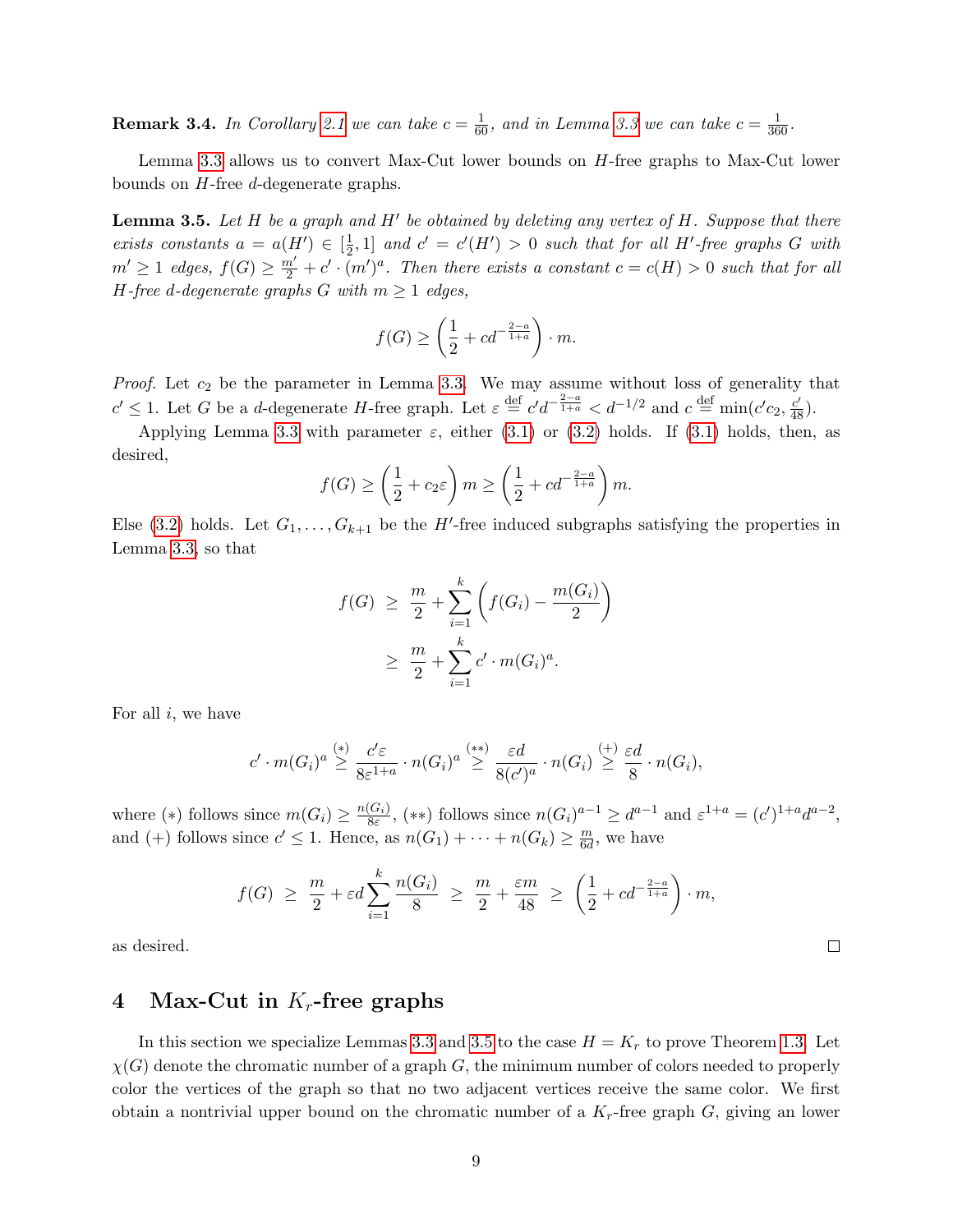**Remark 3.4.** In Corollary [2.1](#page-5-1) we can take  $c = \frac{1}{60}$ , and in Lemma [3.3](#page-6-4) we can take  $c = \frac{1}{360}$ .

Lemma [3.3](#page-6-4) allows us to convert Max-Cut lower bounds on H-free graphs to Max-Cut lower bounds on H-free d-degenerate graphs.

<span id="page-8-0"></span>**Lemma 3.5.** Let H be a graph and H' be obtained by deleting any vertex of H. Suppose that there exists constants  $a = a(H') \in \left[\frac{1}{2}\right]$  $\frac{1}{2}$ , 1] and  $c' = c'(H') > 0$  such that for all H'-free graphs G with  $m' \geq 1$  edges,  $f(G) \geq \frac{m'}{2} + c' \cdot (m')^a$ . Then there exists a constant  $c = c(H) > 0$  such that for all H-free d-degenerate graphs G with  $m \geq 1$  edges,

$$
f(G) \ge \left(\frac{1}{2} + cd^{-\frac{2-a}{1+a}}\right) \cdot m.
$$

*Proof.* Let  $c_2$  be the parameter in Lemma [3.3.](#page-6-4) We may assume without loss of generality that  $c' \leq 1$ . Let G be a d-degenerate H-free graph. Let  $\varepsilon \stackrel{\text{def}}{=} c'd^{-\frac{2-a}{1+a}} < d^{-1/2}$  and  $c \stackrel{\text{def}}{=} \min(c'c_2, \frac{c'}{48})$ .

Applying Lemma [3.3](#page-6-4) with parameter  $\varepsilon$ , either [\(3.1\)](#page-6-2) or [\(3.2\)](#page-6-3) holds. If (3.1) holds, then, as desired,

$$
f(G) \ge \left(\frac{1}{2} + c_2 \varepsilon\right) m \ge \left(\frac{1}{2} + cd^{-\frac{2-a}{1+a}}\right) m.
$$

Else [\(3.2\)](#page-6-3) holds. Let  $G_1, \ldots, G_{k+1}$  be the H'-free induced subgraphs satisfying the properties in Lemma [3.3,](#page-6-4) so that

$$
f(G) \geq \frac{m}{2} + \sum_{i=1}^{k} \left( f(G_i) - \frac{m(G_i)}{2} \right)
$$
  
 
$$
\geq \frac{m}{2} + \sum_{i=1}^{k} c' \cdot m(G_i)^a.
$$

For all  $i$ , we have

$$
c' \cdot m(G_i)^a \stackrel{(*)}{\geq} \frac{c'\varepsilon}{8\varepsilon^{1+a}} \cdot n(G_i)^a \stackrel{(**)}{\geq} \frac{\varepsilon d}{8(c')^a} \cdot n(G_i) \stackrel{(+)}{\geq} \frac{\varepsilon d}{8} \cdot n(G_i),
$$

where (\*) follows since  $m(G_i) \geq \frac{n(G_i)}{8\varepsilon}$  $\frac{(G_i)}{8\varepsilon}$ , (\*\*) follows since  $n(G_i)^{a-1} \ge d^{a-1}$  and  $\varepsilon^{1+a} = (c')^{1+a} d^{a-2}$ , and (+) follows since  $c' \leq 1$ . Hence, as  $n(G_1) + \cdots + n(G_k) \geq \frac{m}{6d}$  $\frac{m}{6d}$ , we have

$$
f(G) \ge \frac{m}{2} + \varepsilon d \sum_{i=1}^{k} \frac{n(G_i)}{8} \ge \frac{m}{2} + \frac{\varepsilon m}{48} \ge \left(\frac{1}{2} + cd^{-\frac{2-a}{1+a}}\right) \cdot m,
$$

as desired.

# 4 Max-Cut in  $K_r$ -free graphs

In this section we specialize Lemmas [3.3](#page-6-4) and [3.5](#page-8-0) to the case  $H = K_r$  to prove Theorem [1.3.](#page-3-0) Let  $\chi(G)$  denote the chromatic number of a graph G, the minimum number of colors needed to properly color the vertices of the graph so that no two adjacent vertices receive the same color. We first obtain a nontrivial upper bound on the chromatic number of a  $K_r$ -free graph  $G$ , giving an lower

 $\Box$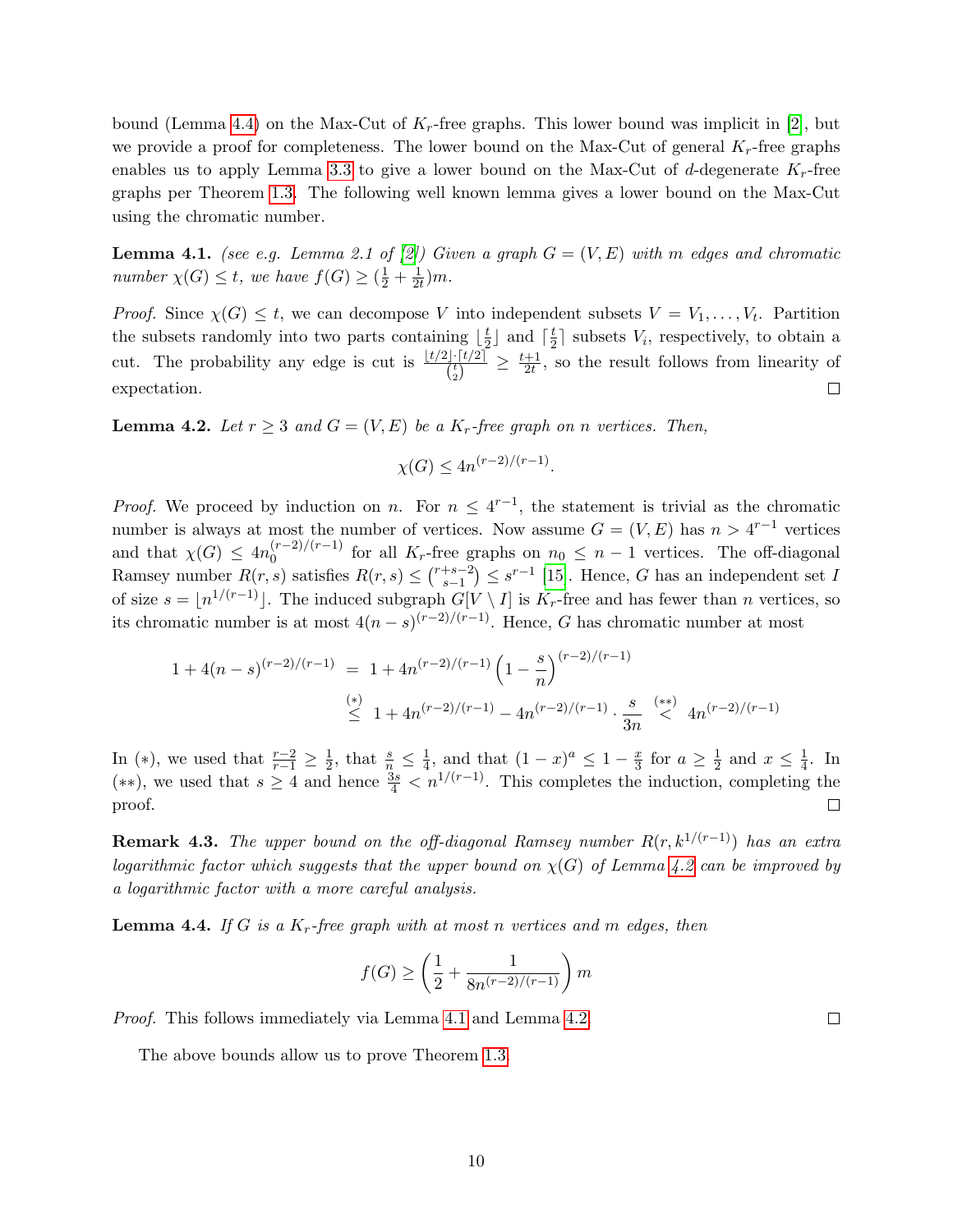bound (Lemma [4.4\)](#page-9-0) on the Max-Cut of  $K_r$ -free graphs. This lower bound was implicit in [\[2\]](#page-11-9), but we provide a proof for completeness. The lower bound on the Max-Cut of general  $K_r$ -free graphs enables us to apply Lemma [3.3](#page-6-4) to give a lower bound on the Max-Cut of d-degenerate  $K_r$ -free graphs per Theorem [1.3.](#page-3-0) The following well known lemma gives a lower bound on the Max-Cut using the chromatic number.

<span id="page-9-2"></span>**Lemma 4.1.** (see e.g. Lemma 2.1 of [\[2\]](#page-11-9)) Given a graph  $G = (V, E)$  with m edges and chromatic number  $\chi(G) \leq t$ , we have  $f(G) \geq (\frac{1}{2} + \frac{1}{2i})$  $\frac{1}{2t})m$ .

*Proof.* Since  $\chi(G) \leq t$ , we can decompose V into independent subsets  $V = V_1, \ldots, V_t$ . Partition the subsets randomly into two parts containing  $\frac{1}{2}$  $\frac{t}{2}$  and  $\lceil \frac{t}{2} \rceil$  $\frac{t}{2}$  subsets  $V_i$ , respectively, to obtain a cut. The probability any edge is cut is  $\frac{\lfloor t/2\rfloor \cdot \lceil t/2\rceil}{\binom{t}{2}} \geq \frac{t+1}{2t}$  $\frac{+1}{2t}$ , so the result follows from linearity of expectation.  $\Box$ 

<span id="page-9-1"></span>**Lemma 4.2.** Let  $r \geq 3$  and  $G = (V, E)$  be a  $K_r$ -free graph on n vertices. Then,

$$
\chi(G) \le 4n^{(r-2)/(r-1)}.
$$

*Proof.* We proceed by induction on n. For  $n \leq 4^{r-1}$ , the statement is trivial as the chromatic number is always at most the number of vertices. Now assume  $G = (V, E)$  has  $n > 4^{r-1}$  vertices and that  $\chi(G) \leq 4n_0^{(r-2)/(r-1)}$  $\binom{(r-2)}{(r-1)}$  for all  $K_r$ -free graphs on  $n_0 \leq n-1$  vertices. The off-diagonal Ramsey number  $R(r, s)$  satisfies  $R(r, s) \leq {r+s-2 \choose s-1}$  $s-1}^{s-2}$  ≤  $s^{r-1}$  [\[15\]](#page-12-7). Hence, G has an independent set I of size  $s = \lfloor n^{1/(r-1)} \rfloor$ . The induced subgraph  $G[V \setminus I]$  is  $K_r$ -free and has fewer than n vertices, so its chromatic number is at most  $4(n-s)^{(r-2)/(r-1)}$ . Hence, G has chromatic number at most

$$
1 + 4(n - s)^{(r-2)/(r-1)} = 1 + 4n^{(r-2)/(r-1)} \left(1 - \frac{s}{n}\right)^{(r-2)/(r-1)}
$$
  

$$
\stackrel{(*)}{\leq} 1 + 4n^{(r-2)/(r-1)} - 4n^{(r-2)/(r-1)} \cdot \frac{s}{3n} \stackrel{(**)}{<} 4n^{(r-2)/(r-1)}
$$

In (\*), we used that  $\frac{r-2}{r-1} \geq \frac{1}{2}$  $\frac{1}{2}$ , that  $\frac{s}{n} \leq \frac{1}{4}$  $\frac{1}{4}$ , and that  $(1-x)^a \leq 1-\frac{x}{3}$  $\frac{x}{3}$  for  $a \geq \frac{1}{2}$  $\frac{1}{2}$  and  $x \leq \frac{1}{4}$  $\frac{1}{4}$ . In (\*\*), we used that  $s \geq 4$  and hence  $\frac{3s}{4}$  <  $n^{1/(r-1)}$ . This completes the induction, completing the proof.  $\Box$ 

**Remark 4.3.** The upper bound on the off-diagonal Ramsey number  $R(r, k^{1/(r-1)})$  has an extra logarithmic factor which suggests that the upper bound on  $\chi(G)$  of Lemma [4.2](#page-9-1) can be improved by a logarithmic factor with a more careful analysis.

<span id="page-9-0"></span>**Lemma 4.4.** If G is a  $K_r$ -free graph with at most n vertices and m edges, then

$$
f(G) \ge \left(\frac{1}{2} + \frac{1}{8n^{(r-2)/(r-1)}}\right)m
$$

Proof. This follows immediately via Lemma [4.1](#page-9-2) and Lemma [4.2.](#page-9-1)

The above bounds allow us to prove Theorem [1.3.](#page-3-0)

 $\Box$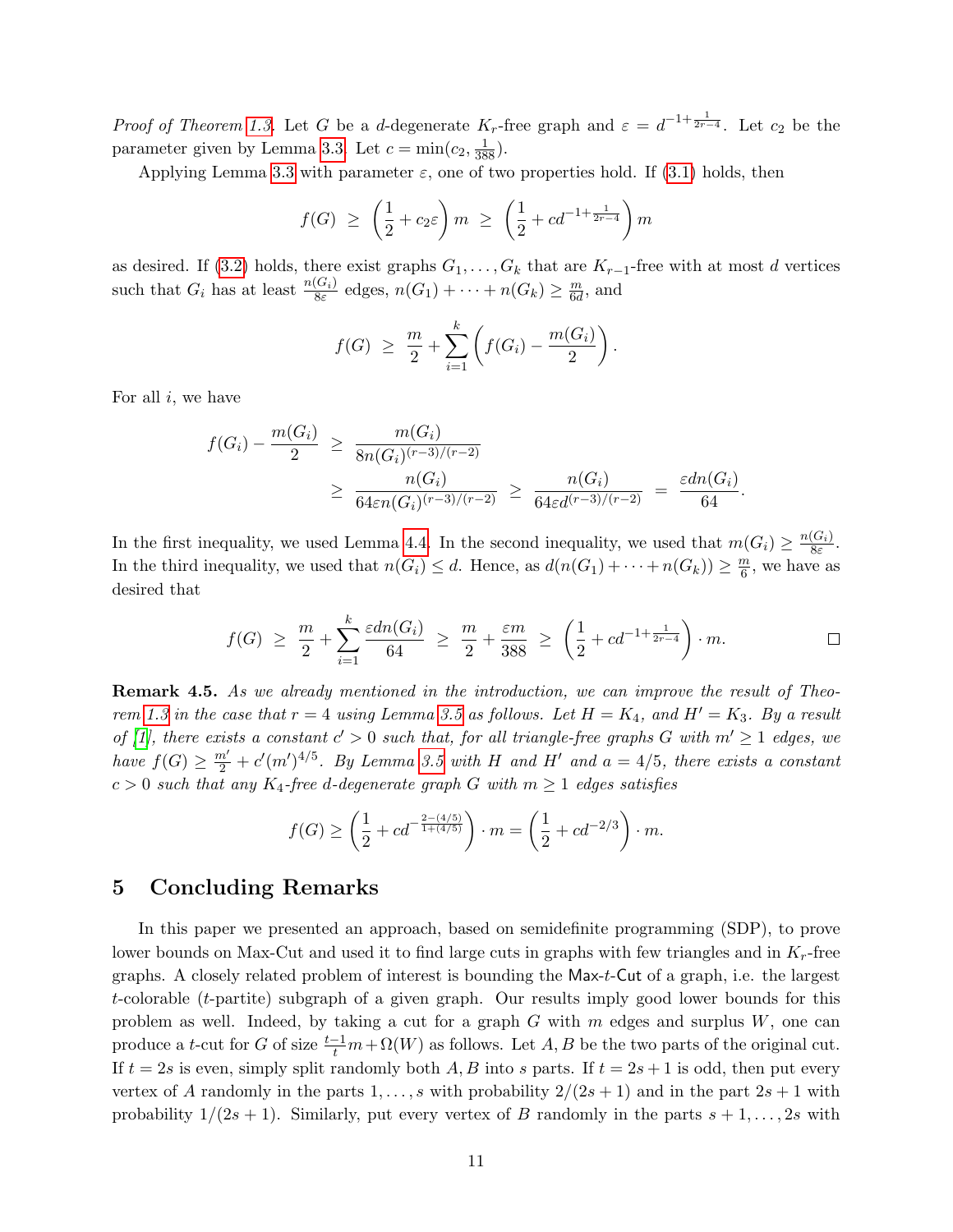*Proof of Theorem [1.3.](#page-3-0)* Let G be a d-degenerate  $K_r$ -free graph and  $\varepsilon = d^{-1+\frac{1}{2r-4}}$ . Let  $c_2$  be the parameter given by Lemma [3.3.](#page-6-4) Let  $c = \min(c_2, \frac{1}{388})$ .

Applying Lemma [3.3](#page-6-4) with parameter  $\varepsilon$ , one of two properties hold. If [\(3.1\)](#page-6-2) holds, then

$$
f(G) \ge \left(\frac{1}{2} + c_2 \varepsilon\right) m \ge \left(\frac{1}{2} + c d^{-1 + \frac{1}{2r - 4}}\right) m
$$

as desired. If [\(3.2\)](#page-6-3) holds, there exist graphs  $G_1, \ldots, G_k$  that are  $K_{r-1}$ -free with at most d vertices such that  $G_i$  has at least  $\frac{n(G_i)}{8\varepsilon}$  edges,  $n(G_1) + \cdots + n(G_k) \geq \frac{m}{6d}$  $\frac{m}{6d}$ , and

$$
f(G) \geq \frac{m}{2} + \sum_{i=1}^{k} \left( f(G_i) - \frac{m(G_i)}{2} \right).
$$

For all  $i$ , we have

$$
f(G_i) - \frac{m(G_i)}{2} \ge \frac{m(G_i)}{8n(G_i)^{(r-3)/(r-2)}} \ge \frac{n(G_i)}{64\epsilon n(G_i)^{(r-3)/(r-2)}} \ge \frac{n(G_i)}{64\epsilon d^{(r-3)/(r-2)}} = \frac{\epsilon dn(G_i)}{64}.
$$

In the first inequality, we used Lemma [4.4.](#page-9-0) In the second inequality, we used that  $m(G_i) \geq \frac{n(G_i)}{8\varepsilon}$  $\frac{(G_i)}{8\varepsilon}$ . In the third inequality, we used that  $n(G_i) \leq d$ . Hence, as  $d(n(G_1) + \cdots + n(G_k)) \geq \frac{m}{6}$  $\frac{m}{6}$ , we have as desired that

$$
f(G) \geq \frac{m}{2} + \sum_{i=1}^{k} \frac{\varepsilon dn(G_i)}{64} \geq \frac{m}{2} + \frac{\varepsilon m}{388} \geq \left(\frac{1}{2} + cd^{-1 + \frac{1}{2r-4}}\right) \cdot m.
$$

Remark 4.5. As we already mentioned in the introduction, we can improve the result of Theo-rem [1.3](#page-3-0) in the case that  $r = 4$  using Lemma [3.5](#page-8-0) as follows. Let  $H = K_4$ , and  $H' = K_3$ . By a result of [\[1\]](#page-11-1), there exists a constant  $c' > 0$  such that, for all triangle-free graphs G with  $m' \geq 1$  edges, we have  $f(G) \geq \frac{m'}{2} + c'(m')^{4/5}$ . By Lemma [3.5](#page-8-0) with H and H' and  $a = 4/5$ , there exists a constant  $c > 0$  such that any  $K_4$ -free d-degenerate graph G with  $m \geq 1$  edges satisfies

$$
f(G) \ge \left(\frac{1}{2} + cd^{-\frac{2 - (4/5)}{1 + (4/5)}}\right) \cdot m = \left(\frac{1}{2} + cd^{-2/3}\right) \cdot m.
$$

### 5 Concluding Remarks

In this paper we presented an approach, based on semidefinite programming (SDP), to prove lower bounds on Max-Cut and used it to find large cuts in graphs with few triangles and in  $K_r$ -free graphs. A closely related problem of interest is bounding the Max-t-Cut of a graph, i.e. the largest t-colorable (t-partite) subgraph of a given graph. Our results imply good lower bounds for this problem as well. Indeed, by taking a cut for a graph  $G$  with  $m$  edges and surplus  $W$ , one can produce a t-cut for G of size  $\frac{t-1}{t}m + \Omega(W)$  as follows. Let A, B be the two parts of the original cut. If  $t = 2s$  is even, simply split randomly both A, B into s parts. If  $t = 2s + 1$  is odd, then put every vertex of A randomly in the parts  $1, \ldots, s$  with probability  $2/(2s+1)$  and in the part  $2s+1$  with probability  $1/(2s+1)$ . Similarly, put every vertex of B randomly in the parts  $s+1,\ldots,2s$  with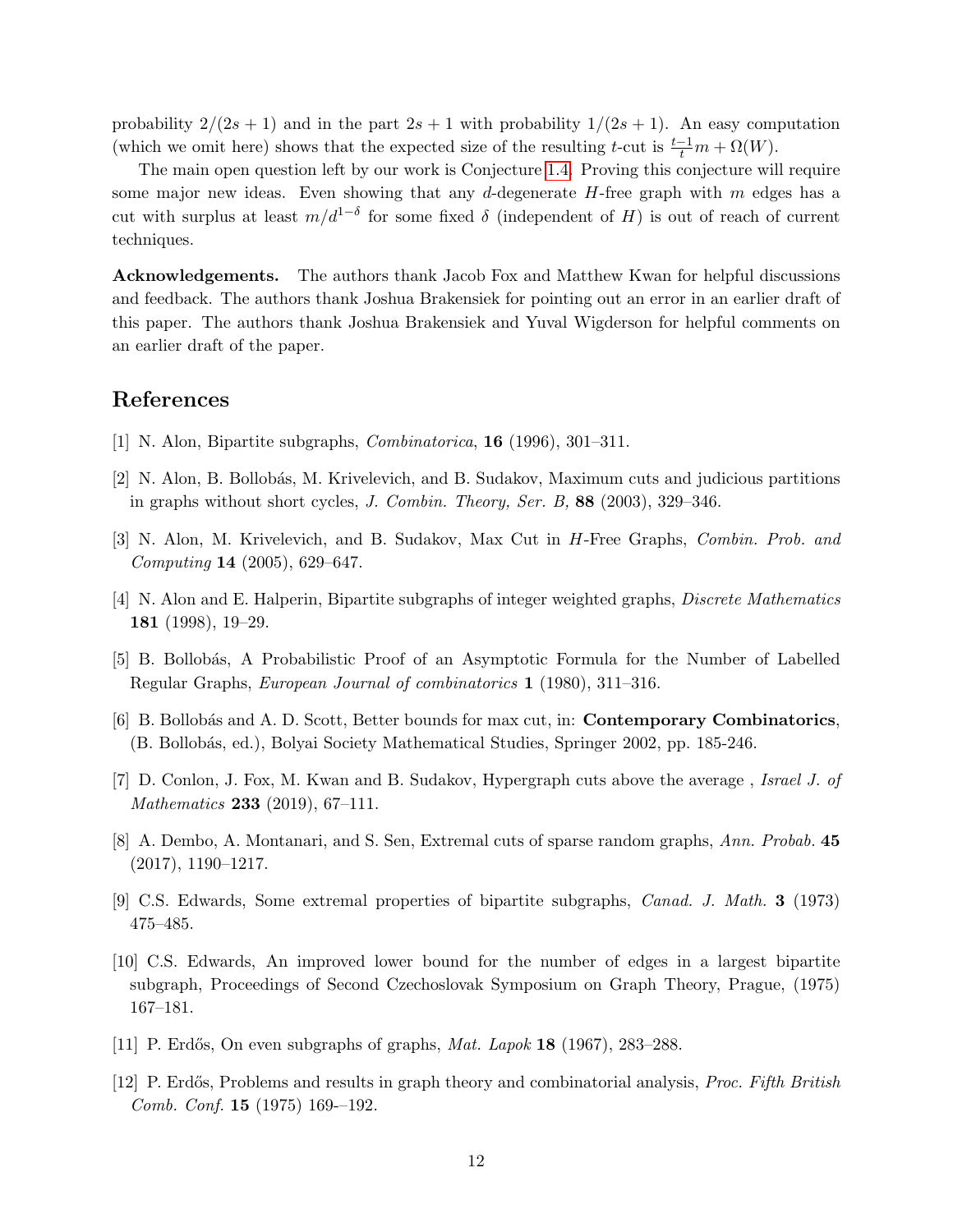probability  $2/(2s+1)$  and in the part  $2s+1$  with probability  $1/(2s+1)$ . An easy computation (which we omit here) shows that the expected size of the resulting t-cut is  $\frac{t-1}{t}m + \Omega(W)$ .

The main open question left by our work is Conjecture [1.4.](#page-3-1) Proving this conjecture will require some major new ideas. Even showing that any d-degenerate  $H$ -free graph with  $m$  edges has a cut with surplus at least  $m/d^{1-\delta}$  for some fixed  $\delta$  (independent of H) is out of reach of current techniques.

Acknowledgements. The authors thank Jacob Fox and Matthew Kwan for helpful discussions and feedback. The authors thank Joshua Brakensiek for pointing out an error in an earlier draft of this paper. The authors thank Joshua Brakensiek and Yuval Wigderson for helpful comments on an earlier draft of the paper.

## References

- <span id="page-11-1"></span>[1] N. Alon, Bipartite subgraphs, Combinatorica, 16 (1996), 301–311.
- <span id="page-11-9"></span>[2] N. Alon, B. Bollob´as, M. Krivelevich, and B. Sudakov, Maximum cuts and judicious partitions in graphs without short cycles, J. Combin. Theory, Ser. B, 88 (2003), 329–346.
- <span id="page-11-2"></span>[3] N. Alon, M. Krivelevich, and B. Sudakov, Max Cut in H-Free Graphs, Combin. Prob. and Computing 14 (2005), 629–647.
- <span id="page-11-8"></span>[4] N. Alon and E. Halperin, Bipartite subgraphs of integer weighted graphs, Discrete Mathematics 181 (1998), 19–29.
- <span id="page-11-10"></span>[5] B. Bollob´as, A Probabilistic Proof of an Asymptotic Formula for the Number of Labelled Regular Graphs, European Journal of combinatorics 1 (1980), 311–316.
- <span id="page-11-3"></span>[6] B. Bollobás and A. D. Scott, Better bounds for max cut, in: **Contemporary Combinatorics**, (B. Bollob´as, ed.), Bolyai Society Mathematical Studies, Springer 2002, pp. 185-246.
- <span id="page-11-4"></span>[7] D. Conlon, J. Fox, M. Kwan and B. Sudakov, Hypergraph cuts above the average , Israel J. of Mathematics **233** (2019), 67-111.
- <span id="page-11-11"></span>[8] A. Dembo, A. Montanari, and S. Sen, Extremal cuts of sparse random graphs, Ann. Probab. 45 (2017), 1190–1217.
- <span id="page-11-5"></span>[9] C.S. Edwards, Some extremal properties of bipartite subgraphs, Canad. J. Math. 3 (1973) 475–485.
- <span id="page-11-7"></span>[10] C.S. Edwards, An improved lower bound for the number of edges in a largest bipartite subgraph, Proceedings of Second Czechoslovak Symposium on Graph Theory, Prague, (1975) 167–181.
- <span id="page-11-0"></span>[11] P. Erdős, On even subgraphs of graphs, *Mat. Lapok* **18** (1967), 283–288.
- <span id="page-11-6"></span>[12] P. Erdős, Problems and results in graph theory and combinatorial analysis, *Proc. Fifth British* Comb. Conf. 15 (1975) 169-–192.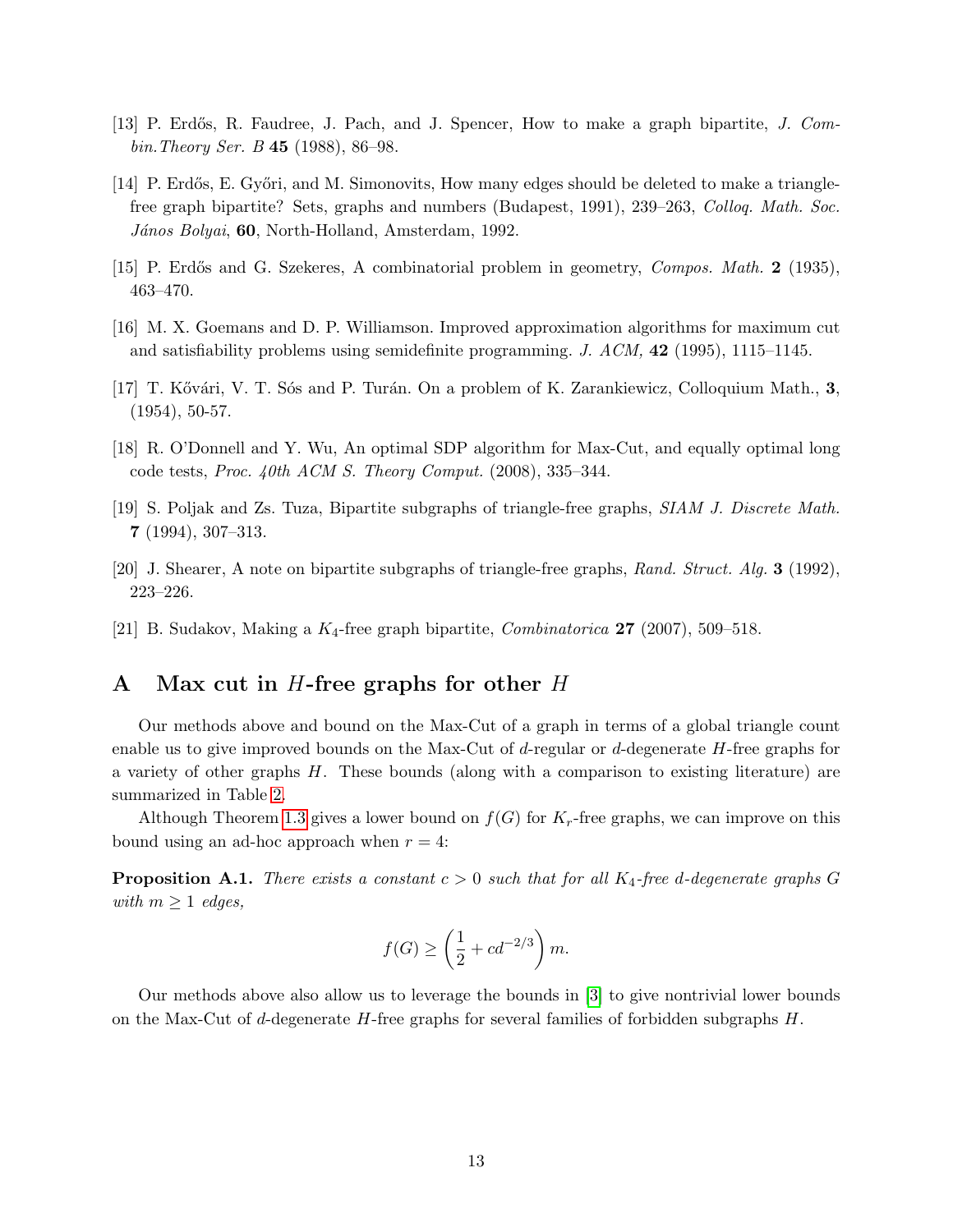- <span id="page-12-0"></span>[13] P. Erdős, R. Faudree, J. Pach, and J. Spencer, How to make a graph bipartite, J. Combin.Theory Ser. B 45 (1988), 86–98.
- [14] P. Erdős, E. Győri, and M. Simonovits, How many edges should be deleted to make a trianglefree graph bipartite? Sets, graphs and numbers (Budapest, 1991), 239–263, Colloq. Math. Soc. János Bolyai, 60, North-Holland, Amsterdam, 1992.
- <span id="page-12-7"></span>[15] P. Erdős and G. Szekeres, A combinatorial problem in geometry, *Compos. Math.* 2 (1935), 463–470.
- <span id="page-12-4"></span>[16] M. X. Goemans and D. P. Williamson. Improved approximation algorithms for maximum cut and satisfiability problems using semidefinite programming.  $J.$   $ACM$ , **42** (1995), 1115–1145.
- <span id="page-12-8"></span>[17] T. Kővári, V. T. Sós and P. Turán. On a problem of K. Zarankiewicz, Colloquium Math., 3, (1954), 50-57.
- <span id="page-12-5"></span>[18] R. O'Donnell and Y. Wu, An optimal SDP algorithm for Max-Cut, and equally optimal long code tests, Proc.  $40th$  ACM S. Theory Comput. (2008), 335–344.
- <span id="page-12-3"></span>[19] S. Poljak and Zs. Tuza, Bipartite subgraphs of triangle-free graphs, SIAM J. Discrete Math. 7 (1994), 307–313.
- <span id="page-12-1"></span>[20] J. Shearer, A note on bipartite subgraphs of triangle-free graphs, Rand. Struct. Alg. 3 (1992), 223–226.
- <span id="page-12-2"></span>[21] B. Sudakov, Making a  $K_4$ -free graph bipartite, *Combinatorica* **27** (2007), 509–518.

# <span id="page-12-6"></span>A Max cut in H-free graphs for other H

Our methods above and bound on the Max-Cut of a graph in terms of a global triangle count enable us to give improved bounds on the Max-Cut of d-regular or d-degenerate H-free graphs for a variety of other graphs  $H$ . These bounds (along with a comparison to existing literature) are summarized in Table [2.](#page-15-0)

Although Theorem [1.3](#page-3-0) gives a lower bound on  $f(G)$  for  $K_r$ -free graphs, we can improve on this bound using an ad-hoc approach when  $r = 4$ :

<span id="page-12-9"></span>**Proposition A.1.** There exists a constant  $c > 0$  such that for all  $K_4$ -free d-degenerate graphs G with  $m \geq 1$  edges,

$$
f(G) \ge \left(\frac{1}{2} + cd^{-2/3}\right)m.
$$

Our methods above also allow us to leverage the bounds in [\[3\]](#page-11-2) to give nontrivial lower bounds on the Max-Cut of d-degenerate  $H$ -free graphs for several families of forbidden subgraphs  $H$ .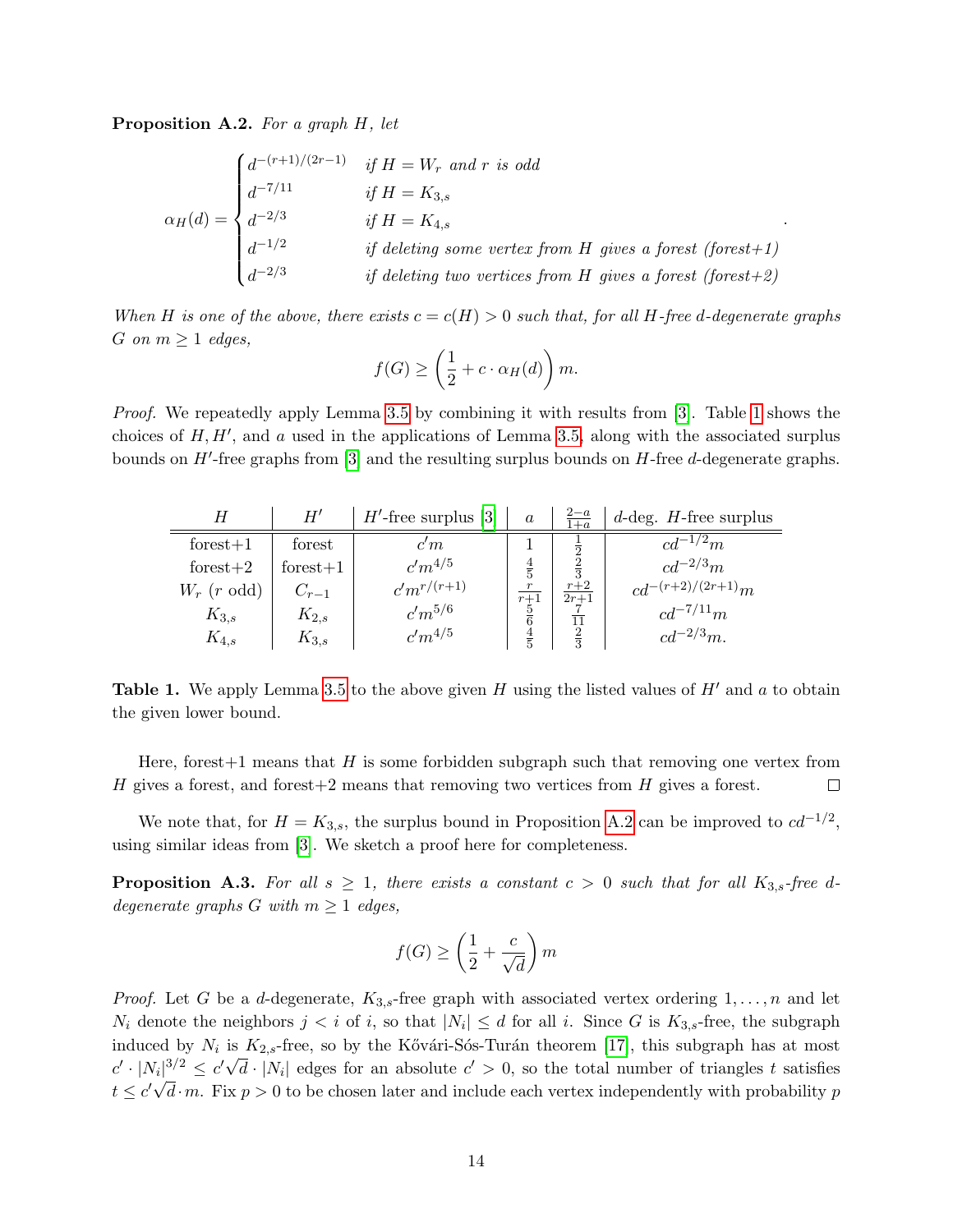<span id="page-13-1"></span>Proposition A.2. For a graph H, let

$$
\alpha_H(d) = \begin{cases}\nd^{-(r+1)/(2r-1)} & if H = W_r \text{ and } r \text{ is odd} \\
d^{-7/11} & if H = K_{3,s} \\
d^{-2/3} & if H = K_{4,s} \\
d^{-1/2} & if deleting some vertex from H gives a forest (forest+1) \\
d^{-2/3} & if deleting two vertices from H gives a forest (forest+2)\n\end{cases}
$$

When H is one of the above, there exists  $c = c(H) > 0$  such that, for all H-free d-degenerate graphs G on  $m \geq 1$  edges,

$$
f(G) \ge \left(\frac{1}{2} + c \cdot \alpha_H(d)\right)m.
$$

*Proof.* We repeatedly apply Lemma [3.5](#page-8-0) by combining it with results from [\[3\]](#page-11-2). Table [1](#page-13-0) shows the choices of  $H, H'$ , and a used in the applications of Lemma [3.5,](#page-8-0) along with the associated surplus bounds on  $H'$ -free graphs from [\[3\]](#page-11-2) and the resulting surplus bounds on  $H$ -free  $d$ -degenerate graphs.

<span id="page-13-0"></span>

|               | $H^{\prime}$ | $H'$ -free surplus [3] | $\alpha$         | $\frac{2-a}{1+a}$                      | $d$ -deg. H-free surplus |
|---------------|--------------|------------------------|------------------|----------------------------------------|--------------------------|
| $forest+1$    | forest       | c'm                    |                  |                                        | $c d^{-1/2} m$           |
| forest $+2$   | $forest+1$   | $c'm^{4/5}$            | $\frac{4}{5}$    | $\frac{1}{2}$ $\frac{2}{3}$            | $c d^{-2/3} m$           |
| $W_r$ (r odd) | $C_{r-1}$    | $c'm^{r/(r+1)}$        | $\,r\,$<br>$r+1$ | $\frac{r+2}{r+2}$<br>$\overline{2r+1}$ | $cd^{-(r+2)/(2r+1)}m$    |
| $K_{3,s}$     | $K_{2,s}$    | $c'm^{5/6}$            | $\frac{5}{6}$    |                                        | $cd^{-7/11}m$            |
| $K_{4,s}$     | $K_{3,s}$    | $c'm^{4/5}$            | $\frac{4}{5}$    | $\frac{11}{2}$                         | $cd^{-2/3}m$ .           |

**Table 1.** We apply Lemma [3.5](#page-8-0) to the above given H using the listed values of H' and a to obtain the given lower bound.

Here, forest  $+1$  means that H is some forbidden subgraph such that removing one vertex from  $H$  gives a forest, and forest $+2$  means that removing two vertices from  $H$  gives a forest.  $\Box$ 

We note that, for  $H = K_{3,s}$ , the surplus bound in Proposition [A.2](#page-13-1) can be improved to  $cd^{-1/2}$ , using similar ideas from [\[3\]](#page-11-2). We sketch a proof here for completeness.

<span id="page-13-2"></span>**Proposition A.3.** For all  $s \geq 1$ , there exists a constant  $c > 0$  such that for all  $K_{3,s}$ -free ddegenerate graphs G with  $m \geq 1$  edges,

$$
f(G) \ge \left(\frac{1}{2} + \frac{c}{\sqrt{d}}\right)m
$$

*Proof.* Let G be a d-degenerate,  $K_{3,s}$ -free graph with associated vertex ordering  $1,\ldots,n$  and let  $N_i$  denote the neighbors  $j < i$  of i, so that  $|N_i| \leq d$  for all i. Since G is  $K_{3,s}$ -free, the subgraph induced by  $N_i$  is  $K_{2,s}$ -free, so by the Kővári-Sós-Turán theorem [\[17\]](#page-12-8), this subgraph has at most  $c' \cdot |N_i|^{3/2} \leq c' \sqrt{d} \cdot |N_i|$  edges for an absolute  $c' > 0$ , so the total number of triangles t satisfies  $t \leq c' \sqrt{d} \cdot m$ . Fix  $p > 0$  to be chosen later and include each vertex independently with probability p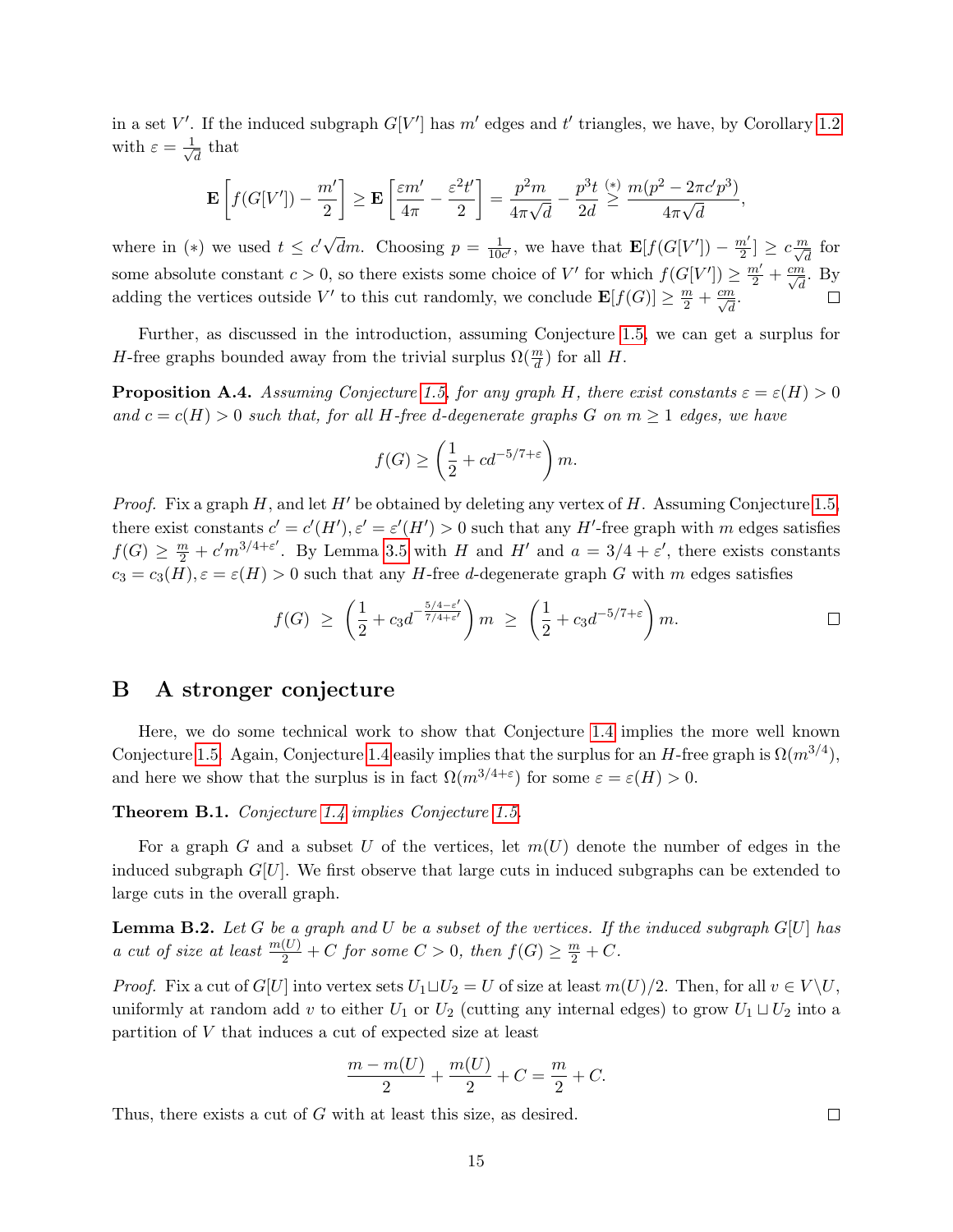in a set V'. If the induced subgraph  $G[V']$  has m' edges and t' triangles, we have, by Corollary [1.2](#page-2-1) with  $\varepsilon = \frac{1}{\sqrt{2}}$  $\overline{\overline{d}}$  that

$$
\mathbf{E}\left[f(G[V'])-\frac{m'}{2}\right]\geq \mathbf{E}\left[\frac{\varepsilon m'}{4\pi}-\frac{\varepsilon^2 t'}{2}\right]=\frac{p^2m}{4\pi\sqrt{d}}-\frac{p^3t}{2d}\overset{(*)}{\geq}\frac{m(p^2-2\pi c'p^3)}{4\pi\sqrt{d}},
$$

where in (\*) we used  $t \leq c' \sqrt{2}$  $\frac{1}{10c'}$ , we have that  $\mathbf{E}[f(G[V']) - \frac{m'}{2}]$  $\overline{d}m$ . Choosing  $p = \frac{1}{10}$  $\frac{n'}{2}$   $\geq c \frac{m}{\sqrt{d}}$  for some absolute constant  $c > 0$ , so there exists some choice of V' for which  $f(G[V']) \geq \frac{m'}{2} + \frac{cm}{\sqrt{d}}$ . By adding the vertices outside V' to this cut randomly, we conclude  $\mathbf{E}[f(G)] \geq \frac{m}{2} + \frac{cm}{\sqrt{d}}$ .  $\Box$ 

Further, as discussed in the introduction, assuming Conjecture [1.5,](#page-3-2) we can get a surplus for *H*-free graphs bounded away from the trivial surplus  $\Omega(\frac{m}{d})$  for all *H*.

<span id="page-14-1"></span>**Proposition A.4.** Assuming Conjecture [1.5,](#page-3-2) for any graph H, there exist constants  $\varepsilon = \varepsilon(H) > 0$ and  $c = c(H) > 0$  such that, for all H-free d-degenerate graphs G on  $m \geq 1$  edges, we have

$$
f(G) \ge \left(\frac{1}{2} + cd^{-5/7 + \varepsilon}\right)m.
$$

*Proof.* Fix a graph H, and let H' be obtained by deleting any vertex of H. Assuming Conjecture [1.5,](#page-3-2) there exist constants  $c' = c'(H'), \varepsilon' = \varepsilon'(H') > 0$  such that any H'-free graph with m edges satisfies  $f(G) \geq \frac{m}{2} + c'm^{3/4+\epsilon'}$ . By Lemma [3.5](#page-8-0) with H and H' and  $a = 3/4 + \epsilon'$ , there exists constants  $c_3 = c_3(H), \varepsilon = \varepsilon(H) > 0$  such that any H-free d-degenerate graph G with m edges satisfies

$$
f(G) \ge \left(\frac{1}{2} + c_3 d^{-\frac{5/4-\varepsilon'}{7/4+\varepsilon'}}\right) m \ge \left(\frac{1}{2} + c_3 d^{-5/7+\varepsilon}\right) m.
$$

#### <span id="page-14-0"></span>B A stronger conjecture

Here, we do some technical work to show that Conjecture [1.4](#page-3-1) implies the more well known Conjecture [1.5.](#page-3-2) Again, Conjecture [1.4](#page-3-1) easily implies that the surplus for an H-free graph is  $\Omega(m^{3/4})$ , and here we show that the surplus is in fact  $\Omega(m^{3/4+\epsilon})$  for some  $\varepsilon = \varepsilon(H) > 0$ .

<span id="page-14-3"></span>Theorem B.1. Conjecture [1.4](#page-3-1) implies Conjecture [1.5.](#page-3-2)

For a graph G and a subset U of the vertices, let  $m(U)$  denote the number of edges in the induced subgraph  $G[U]$ . We first observe that large cuts in induced subgraphs can be extended to large cuts in the overall graph.

<span id="page-14-2"></span>**Lemma B.2.** Let G be a graph and U be a subset of the vertices. If the induced subgraph  $G[U]$  has a cut of size at least  $\frac{m(U)}{2} + C$  for some  $C > 0$ , then  $f(G) \geq \frac{m}{2} + C$ .

*Proof.* Fix a cut of  $G[U]$  into vertex sets  $U_1 \sqcup U_2 = U$  of size at least  $m(U)/2$ . Then, for all  $v \in V \backslash U$ , uniformly at random add v to either  $U_1$  or  $U_2$  (cutting any internal edges) to grow  $U_1 \sqcup U_2$  into a partition of V that induces a cut of expected size at least

$$
\frac{m - m(U)}{2} + \frac{m(U)}{2} + C = \frac{m}{2} + C.
$$

Thus, there exists a cut of G with at least this size, as desired.

 $\Box$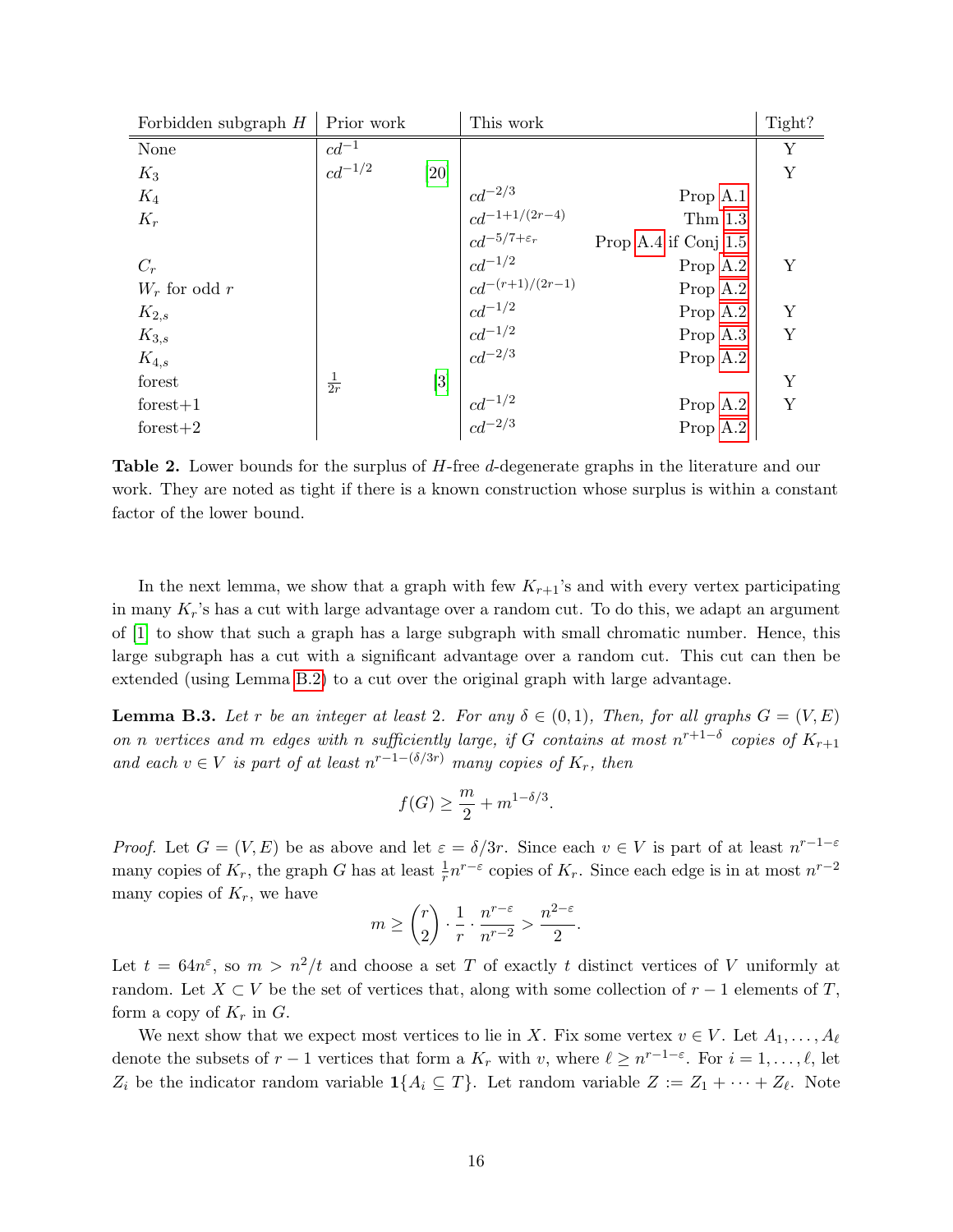<span id="page-15-0"></span>

| Forbidden subgraph $H$ | Prior work     |                   | This work                                                                     |                        | Tight? |
|------------------------|----------------|-------------------|-------------------------------------------------------------------------------|------------------------|--------|
| None                   | $cd^{-1}$      |                   |                                                                               |                        | Υ      |
| $K_3$                  | $cd^{-1/2}$    | [20]              |                                                                               |                        | Y      |
| $K_4$                  |                |                   |                                                                               | Prop A.1               |        |
| $K_r$                  |                |                   |                                                                               | Thm 1.3                |        |
|                        |                |                   | $cd^{-2/3}$<br>$cd^{-1+1/(2r-4)}$<br>$cd^{-5/7+\varepsilon_r}$<br>$cd^{-1/2}$ | Prop A.4 if Conj $1.5$ |        |
| $C_r$                  |                |                   |                                                                               | Prop A.2               | Υ      |
| $W_r$ for odd r        |                |                   | $cd^{-(r+1)/(2r-1)}$                                                          | Prop A.2               |        |
| $K_{2,s}$              |                |                   | $c d^{-1/2}$                                                                  | Prop A.2               | Y      |
| $K_{3,s}$              |                |                   | $\frac{cd^{-1/2}}{cd^{-2/3}}$                                                 | Prop A.3               | Y      |
| $K_{4,s}$              |                |                   |                                                                               | Prop A.2               |        |
| forest                 | $\frac{1}{2r}$ | $\lceil 3 \rceil$ |                                                                               |                        | Y      |
| $forest+1$             |                |                   | $cd^{-1/2} \\\cdots \phantom{aa} cd^{-2/3}$                                   | Prop A.2               | Y      |
| forest $+2$            |                |                   |                                                                               | Prop A.2               |        |

**Table 2.** Lower bounds for the surplus of H-free d-degenerate graphs in the literature and our work. They are noted as tight if there is a known construction whose surplus is within a constant factor of the lower bound.

In the next lemma, we show that a graph with few  $K_{r+1}$ 's and with every vertex participating in many  $K_r$ 's has a cut with large advantage over a random cut. To do this, we adapt an argument of [\[1\]](#page-11-1) to show that such a graph has a large subgraph with small chromatic number. Hence, this large subgraph has a cut with a significant advantage over a random cut. This cut can then be extended (using Lemma [B.2\)](#page-14-2) to a cut over the original graph with large advantage.

<span id="page-15-1"></span>**Lemma B.3.** Let r be an integer at least 2. For any  $\delta \in (0,1)$ , Then, for all graphs  $G = (V, E)$ on n vertices and m edges with n sufficiently large, if G contains at most  $n^{r+1-\delta}$  copies of  $K_{r+1}$ and each  $v \in V$  is part of at least  $n^{r-1-(\delta/3r)}$  many copies of  $K_r$ , then

$$
f(G) \ge \frac{m}{2} + m^{1-\delta/3}.
$$

*Proof.* Let  $G = (V, E)$  be as above and let  $\varepsilon = \delta/3r$ . Since each  $v \in V$  is part of at least  $n^{r-1-\varepsilon}$ many copies of  $K_r$ , the graph G has at least  $\frac{1}{r} n^{r-\varepsilon}$  copies of  $K_r$ . Since each edge is in at most  $n^{r-2}$ many copies of  $K_r$ , we have

$$
m \ge \binom{r}{2} \cdot \frac{1}{r} \cdot \frac{n^{r-\varepsilon}}{n^{r-2}} > \frac{n^{2-\varepsilon}}{2}.
$$

Let  $t = 64n^{\epsilon}$ , so  $m > n^2/t$  and choose a set T of exactly t distinct vertices of V uniformly at random. Let  $X \subset V$  be the set of vertices that, along with some collection of  $r-1$  elements of T, form a copy of  $K_r$  in  $G$ .

We next show that we expect most vertices to lie in X. Fix some vertex  $v \in V$ . Let  $A_1, \ldots, A_\ell$ denote the subsets of  $r-1$  vertices that form a  $K_r$  with v, where  $\ell \geq n^{r-1-\epsilon}$ . For  $i = 1, \ldots, \ell$ , let  $Z_i$  be the indicator random variable  $\mathbf{1}{A_i \subseteq T}$ . Let random variable  $Z := Z_1 + \cdots + Z_\ell$ . Note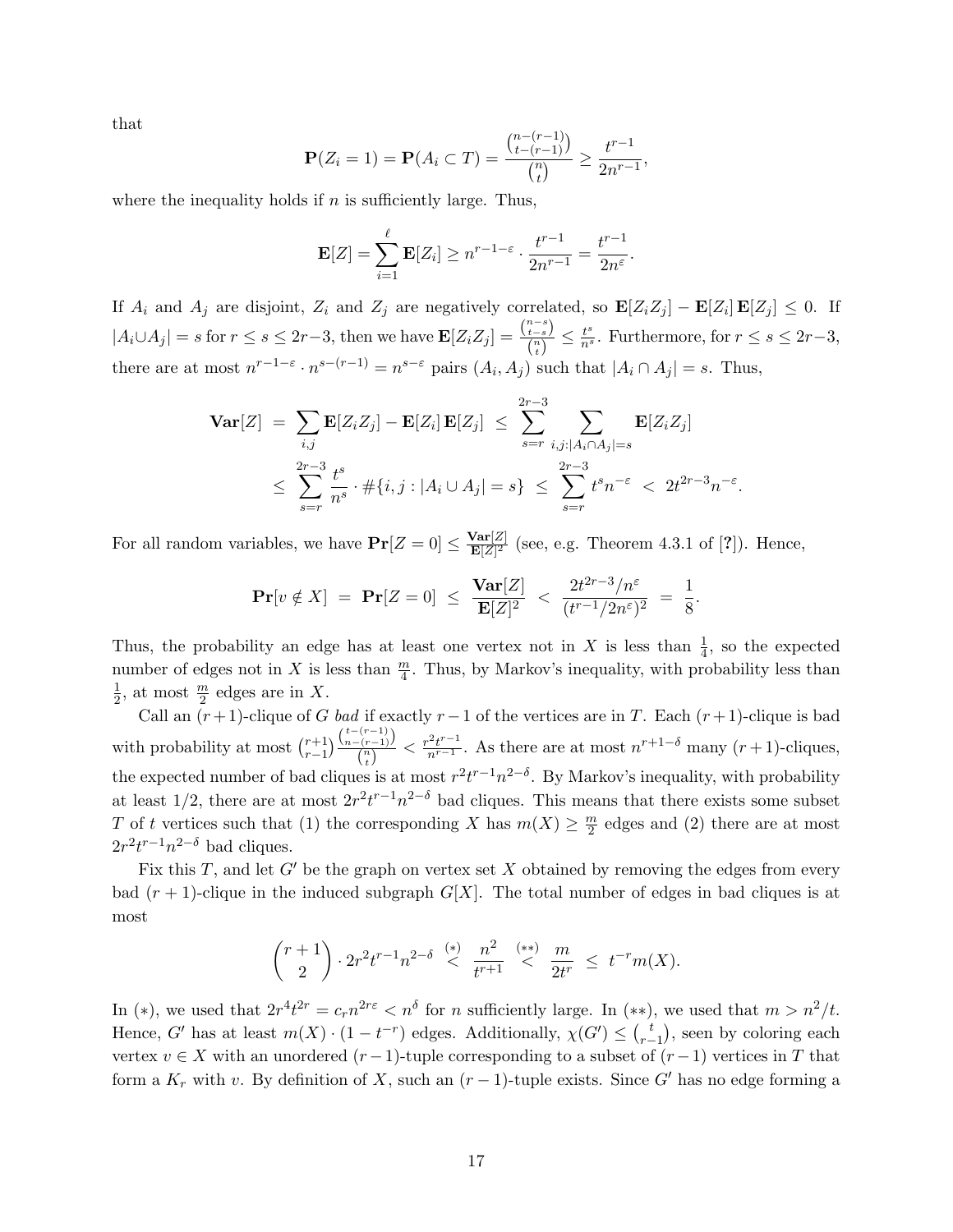that

$$
\mathbf{P}(Z_i = 1) = \mathbf{P}(A_i \subset T) = \frac{{\binom{n-(r-1)}{t-(r-1)}}}{{\binom{n}{t}}} \ge \frac{t^{r-1}}{2n^{r-1}},
$$

where the inequality holds if  $n$  is sufficiently large. Thus,

$$
\mathbf{E}[Z] = \sum_{i=1}^{\ell} \mathbf{E}[Z_i] \ge n^{r-1-\varepsilon} \cdot \frac{t^{r-1}}{2n^{r-1}} = \frac{t^{r-1}}{2n^{\varepsilon}}.
$$

If  $A_i$  and  $A_j$  are disjoint,  $Z_i$  and  $Z_j$  are negatively correlated, so  $\mathbf{E}[Z_i Z_j] - \mathbf{E}[Z_i] \mathbf{E}[Z_j] \le 0$ . If  $|A_i \cup A_j| = s$  for  $r \leq s \leq 2r-3$ , then we have  $\mathbf{E}[Z_i Z_j] = \frac{{n-s \choose i-s}}{n}$  $\frac{t-s}{\binom{n}{t}} \leq \frac{t^s}{n^s}$ . Furthermore, for  $r \leq s \leq 2r-3$ , there are at most  $n^{r-1-\epsilon} \cdot n^{s-(r-1)} = n^{s-\epsilon}$  pairs  $(A_i, A_j)$  such that  $|A_i \cap A_j| = s$ . Thus,

$$
\mathbf{Var}[Z] = \sum_{i,j} \mathbf{E}[Z_i Z_j] - \mathbf{E}[Z_i] \mathbf{E}[Z_j] \le \sum_{s=r}^{2r-3} \sum_{i,j:|A_i \cap A_j| = s} \mathbf{E}[Z_i Z_j]
$$
  

$$
\le \sum_{s=r}^{2r-3} \frac{t^s}{n^s} \cdot \#\{i, j: |A_i \cup A_j| = s\} \le \sum_{s=r}^{2r-3} t^s n^{-\varepsilon} < 2t^{2r-3} n^{-\varepsilon}.
$$

For all random variables, we have  $Pr[Z=0] \leq \frac{Var[Z]}{E[Z]^2}$  $\frac{\text{var}[Z]}{\mathbf{E}[Z]^2}$  (see, e.g. Theorem 4.3.1 of [?]). Hence,

$$
\Pr[v \notin X] = \Pr[Z = 0] \le \frac{\text{Var}[Z]}{\mathbf{E}[Z]^2} < \frac{2t^{2r-3}/n^{\varepsilon}}{(t^{r-1}/2n^{\varepsilon})^2} = \frac{1}{8}.
$$

Thus, the probability an edge has at least one vertex not in X is less than  $\frac{1}{4}$ , so the expected number of edges not in X is less than  $\frac{m}{4}$ . Thus, by Markov's inequality, with probability less than 1  $\frac{1}{2}$ , at most  $\frac{m}{2}$  edges are in X.

Call an  $(r+1)$ -clique of G bad if exactly  $r-1$  of the vertices are in T. Each  $(r+1)$ -clique is bad with probability at most  $\binom{r+1}{r-1}$  $\binom{r+1}{r-1} \frac{\binom{t-(r-1)}{n-(r-1)}}{\binom{n}{r}}$  $\frac{f(r-1)}{r}$  <  $\frac{r^2t^{r-1}}{n^{r-1}}$ . As there are at most  $n^{r+1-\delta}$  many  $(r+1)$ -cliques, the expected number of bad cliques is at most  $r^2t^{r-1}n^{2-\delta}$ . By Markov's inequality, with probability at least 1/2, there are at most  $2r^2t^{r-1}n^{2-\delta}$  bad cliques. This means that there exists some subset T of t vertices such that (1) the corresponding X has  $m(X) \geq \frac{m}{2}$  $\frac{m}{2}$  edges and (2) there are at most  $2r^2t^{r-1}n^{2-\delta}$  bad cliques.

Fix this T, and let  $G'$  be the graph on vertex set X obtained by removing the edges from every bad  $(r + 1)$ -clique in the induced subgraph  $G[X]$ . The total number of edges in bad cliques is at most

$$
\binom{r+1}{2} \cdot 2r^2 t^{r-1} n^{2-\delta} \stackrel{(*)}{<} \frac{n^2}{t^{r+1}} \stackrel{(**)}{<} \frac{m}{2t^r} \leq t^{-r} m(X).
$$

In (\*), we used that  $2r^4t^{2r} = c_r n^{2r\varepsilon} < n^{\delta}$  for *n* sufficiently large. In (\*\*), we used that  $m > n^2/t$ . Hence, G' has at least  $m(X) \cdot (1 - t^{-r})$  edges. Additionally,  $\chi(G') \leq {t \choose r-1}$  $\binom{t}{r-1}$ , seen by coloring each vertex  $v \in X$  with an unordered  $(r-1)$ -tuple corresponding to a subset of  $(r-1)$  vertices in T that form a  $K_r$  with v. By definition of X, such an  $(r-1)$ -tuple exists. Since G' has no edge forming a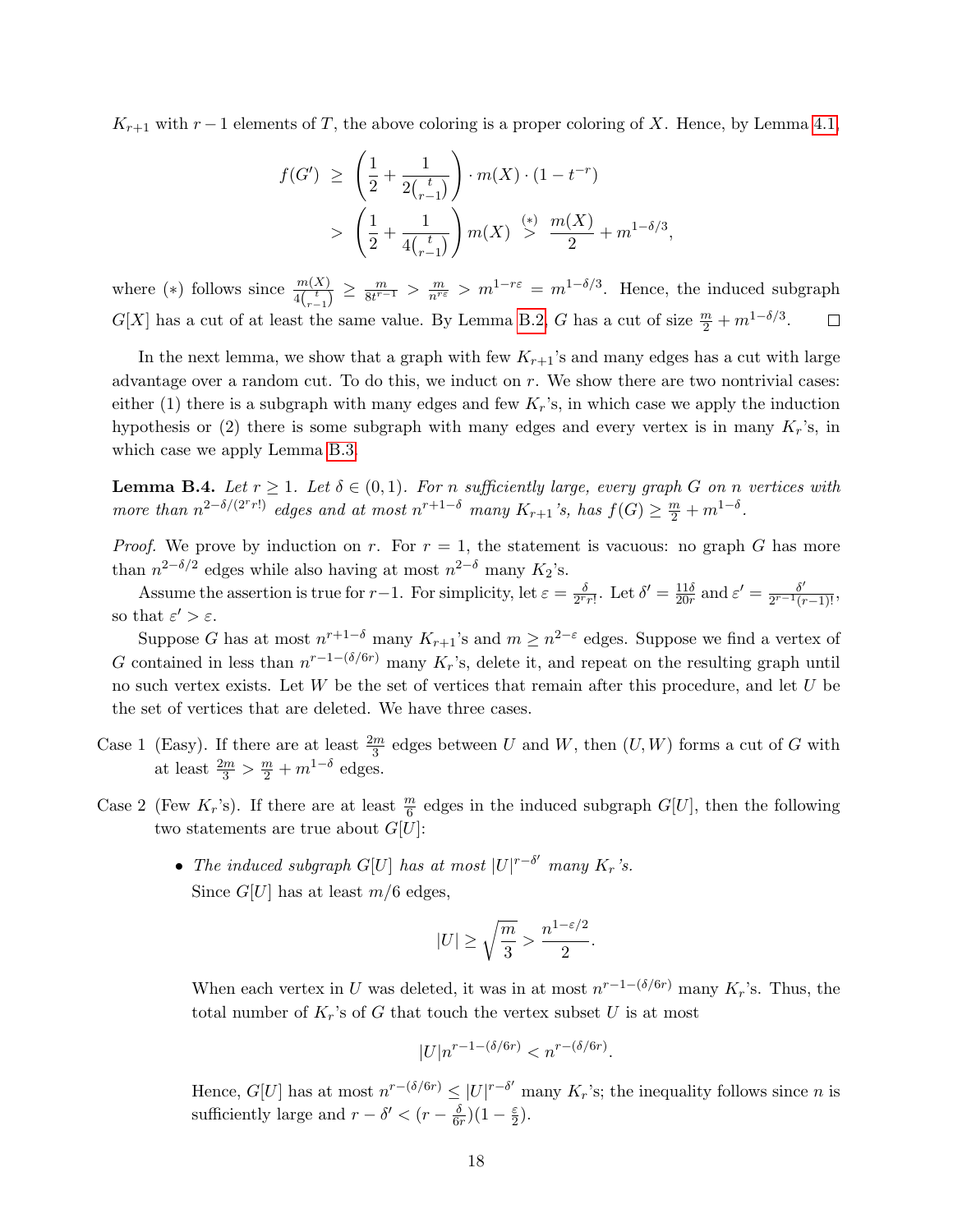$K_{r+1}$  with  $r-1$  elements of T, the above coloring is a proper coloring of X. Hence, by Lemma [4.1,](#page-9-2)

$$
f(G') \ge \left(\frac{1}{2} + \frac{1}{2 {t \choose r-1}}\right) \cdot m(X) \cdot (1 - t^{-r})
$$
  
> 
$$
\left(\frac{1}{2} + \frac{1}{4 {t \choose r-1}}\right) m(X) \stackrel{(*)}{>} \frac{m(X)}{2} + m^{1-\delta/3},
$$

where (\*) follows since  $\frac{m(X)}{4\binom{t}{r-1}} \geq \frac{m}{8t^{r-1}}$  $\frac{m}{8t^{r-1}} > \frac{m}{n^{r\epsilon}} > m^{1-r\epsilon} = m^{1-\delta/3}$ . Hence, the induced subgraph  $G[X]$  has a cut of at least the same value. By Lemma [B.2,](#page-14-2) G has a cut of size  $\frac{m}{2} + m^{1-\delta/3}$ .  $\Box$ 

In the next lemma, we show that a graph with few  $K_{r+1}$ 's and many edges has a cut with large advantage over a random cut. To do this, we induct on r. We show there are two nontrivial cases: either (1) there is a subgraph with many edges and few  $K_r$ 's, in which case we apply the induction hypothesis or (2) there is some subgraph with many edges and every vertex is in many  $K_r$ 's, in which case we apply Lemma [B.3.](#page-15-1)

<span id="page-17-0"></span>**Lemma B.4.** Let  $r \geq 1$ . Let  $\delta \in (0,1)$ . For n sufficiently large, every graph G on n vertices with more than  $n^{2-\delta/(2^r r!)}$  edges and at most  $n^{r+1-\delta}$  many  $K_{r+1}$ 's, has  $f(G) \geq \frac{m}{2} + m^{1-\delta}$ .

*Proof.* We prove by induction on r. For  $r = 1$ , the statement is vacuous: no graph G has more than  $n^{2-\delta/2}$  edges while also having at most  $n^{2-\delta}$  many  $K_2$ 's.

Assume the assertion is true for r-1. For simplicity, let  $\varepsilon = \frac{\delta}{2r}$ .  $\frac{\delta}{2^r r!}$ . Let  $\delta' = \frac{11\delta}{20r}$  $\frac{11\delta}{20r}$  and  $\varepsilon' = \frac{\delta'}{2^{r-1}(r)}$  $\frac{\delta'}{2^{r-1}(r-1)!}$ , so that  $\varepsilon' > \varepsilon$ .

Suppose G has at most  $n^{r+1-\delta}$  many  $K_{r+1}$ 's and  $m \geq n^{2-\varepsilon}$  edges. Suppose we find a vertex of G contained in less than  $n^{r-1-(\delta/6r)}$  many K<sub>r</sub>'s, delete it, and repeat on the resulting graph until no such vertex exists. Let  $W$  be the set of vertices that remain after this procedure, and let  $U$  be the set of vertices that are deleted. We have three cases.

- Case 1 (Easy). If there are at least  $\frac{2m}{3}$  edges between U and W, then  $(U, W)$  forms a cut of G with at least  $\frac{2m}{3}$  >  $\frac{m}{2}$  +  $m^{1-\delta}$  edges.
- Case 2 (Few  $K_r$ 's). If there are at least  $\frac{m}{6}$  edges in the induced subgraph  $G[U]$ , then the following two statements are true about  $G[U]$ :
	- The induced subgraph  $G[U]$  has at most  $|U|^{r-\delta'}$  many  $K_r$ 's. Since  $G[U]$  has at least  $m/6$  edges,

$$
|U|\geq \sqrt{\frac{m}{3}} > \frac{n^{1-\varepsilon/2}}{2}.
$$

When each vertex in U was deleted, it was in at most  $n^{r-1-(\delta/6r)}$  many  $K_r$ 's. Thus, the total number of  $K_r$ 's of G that touch the vertex subset U is at most

$$
|U|n^{r-1-(\delta/6r)} < n^{r-(\delta/6r)}.
$$

Hence,  $G[U]$  has at most  $n^{r-(\delta/6r)} \leq |U|^{r-\delta'}$  many  $K_r$ 's; the inequality follows since n is sufficiently large and  $r - \delta' < (r - \frac{\delta}{6\delta})$  $\frac{\delta}{6r}$ ) $(1-\frac{\varepsilon}{2}$  $\frac{\varepsilon}{2}).$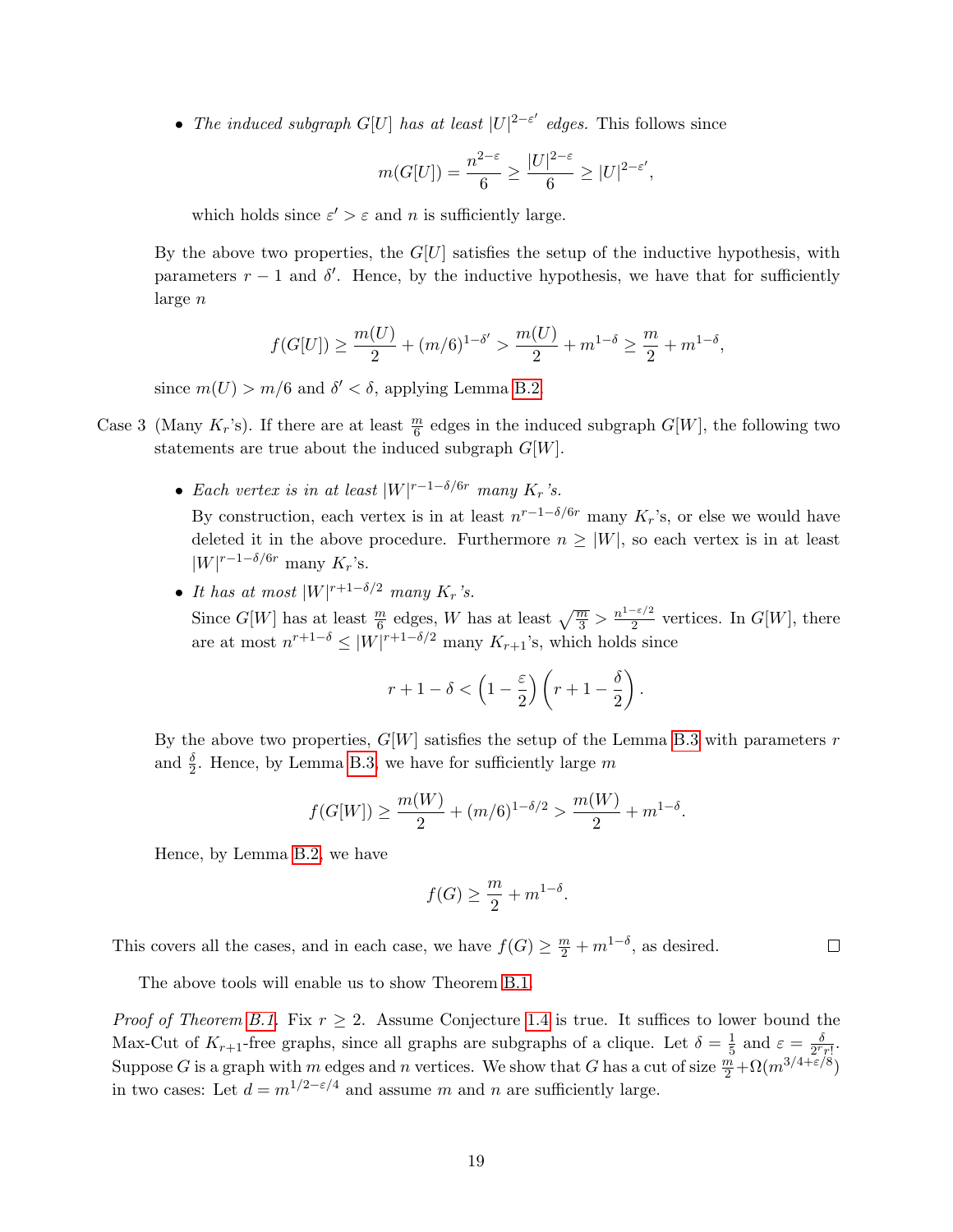• The induced subgraph  $G[U]$  has at least  $|U|^{2-\varepsilon'}$  edges. This follows since

$$
m(G[U]) = \frac{n^{2-\varepsilon}}{6} \ge \frac{|U|^{2-\varepsilon}}{6} \ge |U|^{2-\varepsilon'},
$$

which holds since  $\varepsilon' > \varepsilon$  and n is sufficiently large.

By the above two properties, the  $G[U]$  satisfies the setup of the inductive hypothesis, with parameters  $r - 1$  and  $\delta'$ . Hence, by the inductive hypothesis, we have that for sufficiently large n

$$
f(G[U]) \ge \frac{m(U)}{2} + (m/6)^{1-\delta'} > \frac{m(U)}{2} + m^{1-\delta} \ge \frac{m}{2} + m^{1-\delta},
$$

since  $m(U) > m/6$  and  $\delta' < \delta$ , applying Lemma [B.2.](#page-14-2)

- Case 3 (Many  $K_r$ 's). If there are at least  $\frac{m}{6}$  edges in the induced subgraph  $G[W]$ , the following two statements are true about the induced subgraph  $G[W]$ .
	- Each vertex is in at least  $|W|^{r-1-\delta/6r}$  many  $K_r$ 's. By construction, each vertex is in at least  $n^{r-1-\delta/6r}$  many  $K_r$ 's, or else we would have deleted it in the above procedure. Furthermore  $n \geq |W|$ , so each vertex is in at least  $|W|^{r-1-\delta/6r}$  many  $K_r$ 's.
	- It has at most  $|W|^{r+1-\delta/2}$  many  $K_r$ 's.

Since  $G[W]$  has at least  $\frac{m}{6}$  edges, W has at least  $\sqrt{\frac{m}{3}} > \frac{n^{1-\epsilon/2}}{2}$  $\frac{1}{2}$  vertices. In  $G[W]$ , there are at most  $n^{r+1-\delta} \leq |W|^{r+1-\delta/2}$  many  $K_{r+1}$ 's, which holds since

$$
r+1-\delta < \left(1-\frac{\varepsilon}{2}\right)\left(r+1-\frac{\delta}{2}\right).
$$

By the above two properties,  $G[W]$  satisfies the setup of the Lemma [B.3](#page-15-1) with parameters r and  $\frac{\delta}{2}$ . Hence, by Lemma [B.3,](#page-15-1) we have for sufficiently large m

$$
f(G[W]) \ge \frac{m(W)}{2} + (m/6)^{1-\delta/2} > \frac{m(W)}{2} + m^{1-\delta}.
$$

Hence, by Lemma [B.2,](#page-14-2) we have

$$
f(G) \ge \frac{m}{2} + m^{1-\delta}.
$$

This covers all the cases, and in each case, we have  $f(G) \geq \frac{m}{2} + m^{1-\delta}$ , as desired.  $\Box$ 

The above tools will enable us to show Theorem [B.1.](#page-14-3)

*Proof of Theorem [B.1.](#page-14-3)* Fix  $r \geq 2$ . Assume Conjecture [1.4](#page-3-1) is true. It suffices to lower bound the Max-Cut of  $K_{r+1}$ -free graphs, since all graphs are subgraphs of a clique. Let  $\delta = \frac{1}{5}$  $rac{1}{5}$  and  $\varepsilon = \frac{\delta}{2^r}$  $\frac{\delta}{2^r r!}$ . Suppose G is a graph with m edges and n vertices. We show that G has a cut of size  $\frac{m}{2} + \Omega(m^{3/4 + \varepsilon/8})$ in two cases: Let  $d = m^{1/2 - \varepsilon/4}$  and assume m and n are sufficiently large.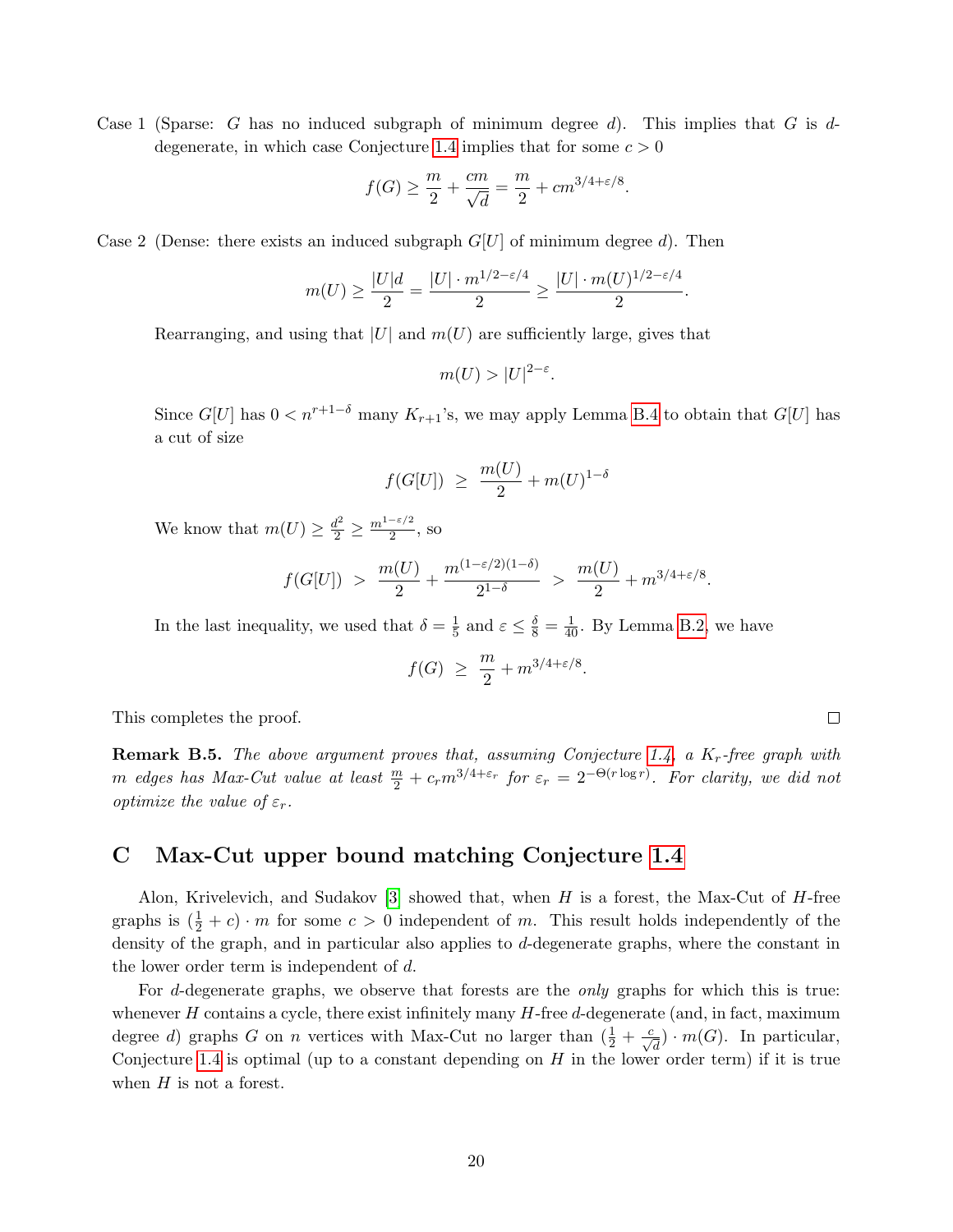Case 1 (Sparse: G has no induced subgraph of minimum degree d). This implies that G is d-degenerate, in which case Conjecture [1.4](#page-3-1) implies that for some  $c > 0$ 

$$
f(G) \ge \frac{m}{2} + \frac{cm}{\sqrt{d}} = \frac{m}{2} + cm^{3/4 + \varepsilon/8}.
$$

Case 2 (Dense: there exists an induced subgraph  $G[U]$  of minimum degree d). Then

$$
m(U) \ge \frac{|U|d}{2} = \frac{|U| \cdot m^{1/2 - \varepsilon/4}}{2} \ge \frac{|U| \cdot m(U)^{1/2 - \varepsilon/4}}{2}.
$$

Rearranging, and using that  $|U|$  and  $m(U)$  are sufficiently large, gives that

$$
m(U) > |U|^{2-\varepsilon}.
$$

Since  $G[U]$  has  $0 < n^{r+1-\delta}$  many  $K_{r+1}$ 's, we may apply Lemma [B.4](#page-17-0) to obtain that  $G[U]$  has a cut of size

$$
f(G[U]) \geq \frac{m(U)}{2} + m(U)^{1-\delta}
$$

We know that  $m(U) \geq \frac{d^2}{2} \geq \frac{m^{1-\epsilon/2}}{2}$  $\frac{1}{2}$ , so

$$
f(G[U]) > \frac{m(U)}{2} + \frac{m^{(1-\epsilon/2)(1-\delta)}}{2^{1-\delta}} > \frac{m(U)}{2} + m^{3/4+\epsilon/8}.
$$

In the last inequality, we used that  $\delta = \frac{1}{5}$  $\frac{1}{5}$  and  $\varepsilon \leq \frac{\delta}{8} = \frac{1}{40}$ . By Lemma [B.2,](#page-14-2) we have

$$
f(G) \ge \frac{m}{2} + m^{3/4 + \varepsilon/8}.
$$

This completes the proof.

**Remark B.5.** The above argument proves that, assuming Conjecture [1.4,](#page-3-1) a  $K_r$ -free graph with m edges has Max-Cut value at least  $\frac{m}{2} + c_r m^{3/4+\varepsilon_r}$  for  $\varepsilon_r = 2^{-\Theta(r \log r)}$ . For clarity, we did not optimize the value of  $\varepsilon_r$ .

## <span id="page-19-0"></span>C Max-Cut upper bound matching Conjecture [1.4](#page-3-1)

Alon, Krivelevich, and Sudakov [\[3\]](#page-11-2) showed that, when H is a forest, the Max-Cut of H-free graphs is  $(\frac{1}{2} + c) \cdot m$  for some  $c > 0$  independent of m. This result holds independently of the density of the graph, and in particular also applies to d-degenerate graphs, where the constant in the lower order term is independent of d.

For d-degenerate graphs, we observe that forests are the only graphs for which this is true: whenever  $H$  contains a cycle, there exist infinitely many  $H$ -free  $d$ -degenerate (and, in fact, maximum degree d) graphs G on n vertices with Max-Cut no larger than  $(\frac{1}{2} + \frac{c}{\sqrt{d}}) \cdot m(G)$ . In particular, Conjecture [1.4](#page-3-1) is optimal (up to a constant depending on  $H$  in the lower order term) if it is true when  $H$  is not a forest.